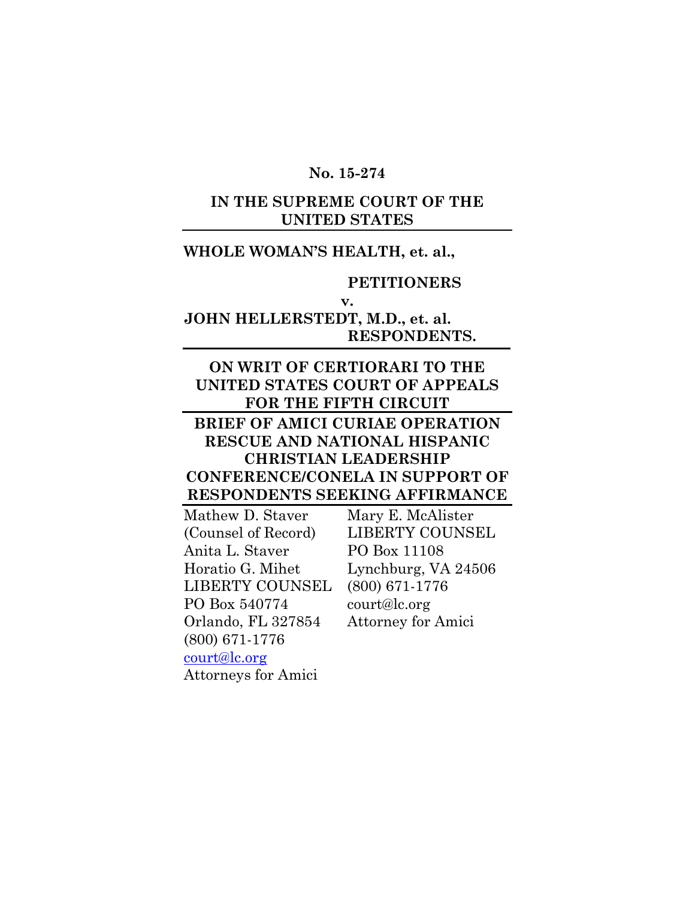### **No. 15-274**

## **IN THE SUPREME COURT OF THE UNITED STATES**

# **WHOLE WOMAN'S HEALTH, et. al.,**

### **PETITIONERS**

#### **v.**

# **JOHN HELLERSTEDT, M.D., et. al. RESPONDENTS.**

## **ON WRIT OF CERTIORARI TO THE UNITED STATES COURT OF APPEALS FOR THE FIFTH CIRCUIT**

## **BRIEF OF AMICI CURIAE OPERATION RESCUE AND NATIONAL HISPANIC CHRISTIAN LEADERSHIP CONFERENCE/CONELA IN SUPPORT OF RESPONDENTS SEEKING AFFIRMANCE**

| Mathew D. Staver           | Mary E. McAlister         |
|----------------------------|---------------------------|
| (Counsel of Record)        | <b>LIBERTY COUNSEL</b>    |
| Anita L. Staver            | PO Box 11108              |
| Horatio G. Mihet           | Lynchburg, VA 24506       |
| <b>LIBERTY COUNSEL</b>     | $(800) 671 - 1776$        |
| PO Box 540774              | court@lc.org              |
| Orlando, FL 327854         | <b>Attorney for Amici</b> |
| $(800)$ 671-1776           |                           |
| court@lc.org               |                           |
| <b>Attorneys for Amici</b> |                           |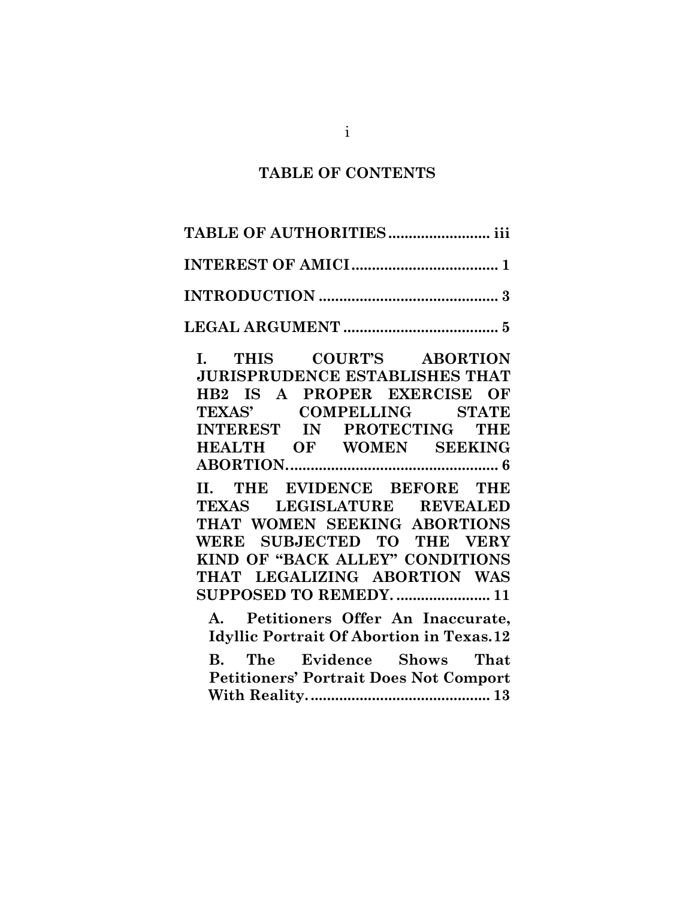### **TABLE OF CONTENTS**

| TABLE OF AUTHORITIES iii                                                                                                                                  |  |  |  |
|-----------------------------------------------------------------------------------------------------------------------------------------------------------|--|--|--|
|                                                                                                                                                           |  |  |  |
|                                                                                                                                                           |  |  |  |
|                                                                                                                                                           |  |  |  |
| I. THIS COURT'S ABORTION<br><b>JURISPRUDENCE ESTABLISHES THAT</b><br>HB2 IS A PROPER EXERCISE OF<br>TEXAS' COMPELLING STATE<br>INTEREST IN PROTECTING THE |  |  |  |
| <b>HEALTH OF WOMEN SEEKING</b>                                                                                                                            |  |  |  |

**[ABORTION....................................................](#page-11-0) 6**

**II. [THE EVIDENCE BEFORE THE](#page-16-0)  [TEXAS LEGISLATURE REVEALED](#page-16-0)  [THAT WOMEN SEEKING ABORTIONS](#page-16-0)  [WERE SUBJECTED TO THE VERY](#page-16-0)  [KIND OF "BACK ALLEY" CONDITIONS](#page-16-0)  [THAT LEGALIZING ABORTION WAS](#page-16-0)  [SUPPOSED TO REMEDY.](#page-16-0) ....................... 11**

**A. [Petitioners Offer An Inaccurate,](#page-17-0)  [Idyllic Portrait Of Abortion in Texas.12](#page-17-0)**

**B. [The Evidence Shows That](#page-18-0)  [Petitioners' Portrait Does Not Comport](#page-18-0)  [With Reality.............................................](#page-18-0) 13**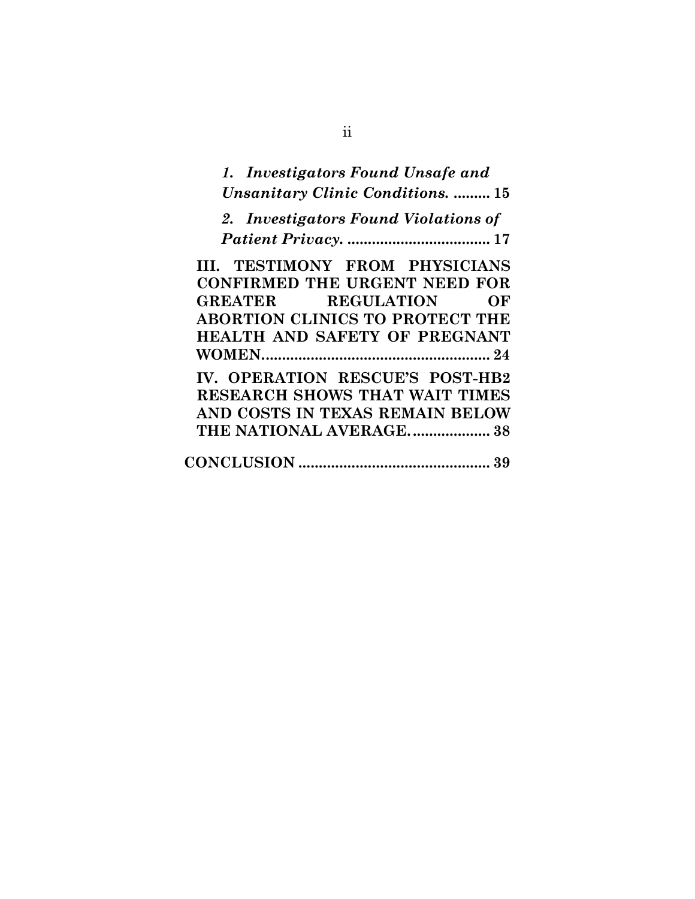| 1. Investigators Found Unsafe and        |
|------------------------------------------|
| <b>Unsanitary Clinic Conditions.  15</b> |
| 2. Investigators Found Violations of     |
|                                          |
| III. TESTIMONY FROM PHYSICIANS           |
| <b>CONFIRMED THE URGENT NEED FOR</b>     |
| GREATER REGULATION OF                    |
| <b>ABORTION CLINICS TO PROTECT THE</b>   |
| <b>HEALTH AND SAFETY OF PREGNANT</b>     |
|                                          |
| IV. OPERATION RESCUE'S POST-HB2          |
| <b>RESEARCH SHOWS THAT WAIT TIMES</b>    |
| AND COSTS IN TEXAS REMAIN BELOW          |
| THE NATIONAL AVERAGE 38                  |
|                                          |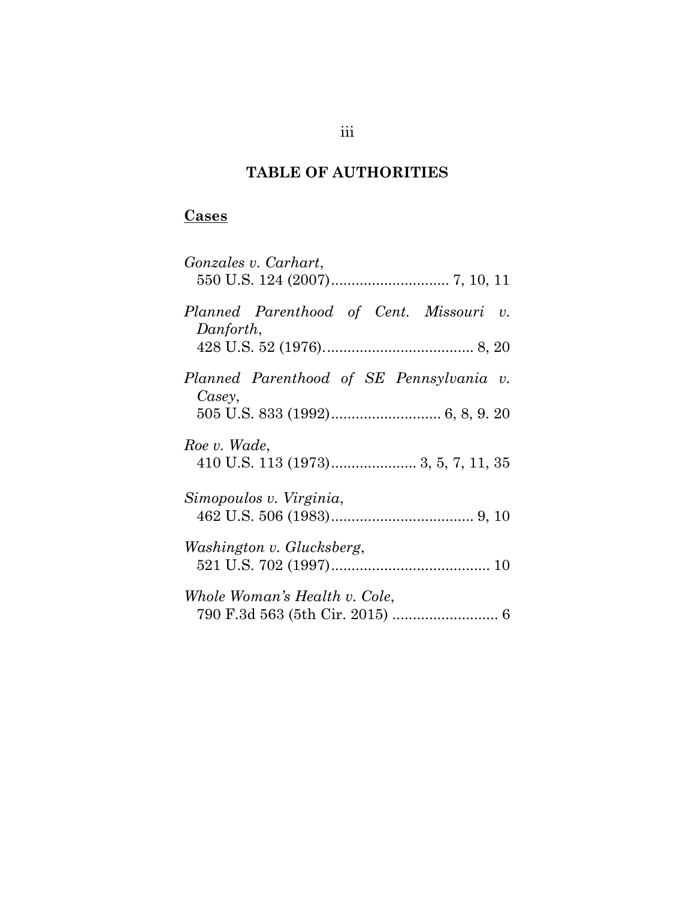# **TABLE OF AUTHORITIES**

# <span id="page-3-0"></span>**Cases**

| Gonzales v. Carhart,                                 |
|------------------------------------------------------|
| Planned Parenthood of Cent. Missouri v.<br>Danforth, |
| Planned Parenthood of SE Pennsylvania v.<br>Casey,   |
| Roe v. Wade,                                         |
| Simopoulos v. Virginia,                              |
| Washington v. Glucksberg,                            |
| Whole Woman's Health v. Cole,                        |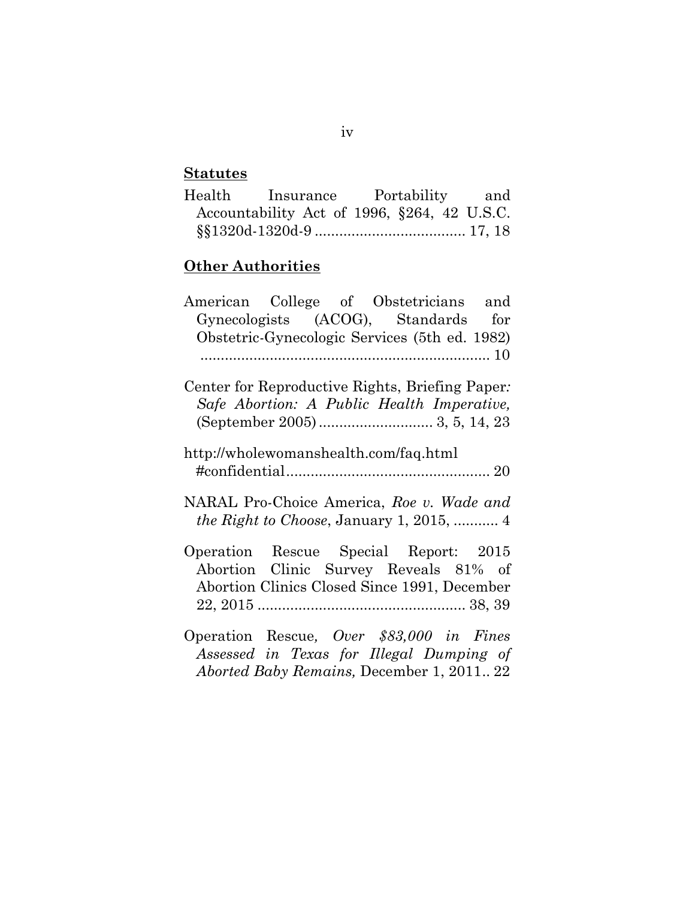# **Statutes**

| Health | Insurance Portability and                   |  |  |  |
|--------|---------------------------------------------|--|--|--|
|        | Accountability Act of 1996, §264, 42 U.S.C. |  |  |  |
|        |                                             |  |  |  |

# **Other Authorities**

| American College of Obstetricians and            |
|--------------------------------------------------|
| Gynecologists (ACOG), Standards for              |
| Obstetric-Gynecologic Services (5th ed. 1982)    |
|                                                  |
| Center for Reproductive Rights, Briefing Paper:  |
| Safe Abortion: A Public Health Imperative,       |
|                                                  |
| http://wholewomanshealth.com/faq.html            |
|                                                  |
| NARAL Pro-Choice America, Roe v. Wade and        |
| <i>the Right to Choose</i> , January 1, 2015,  4 |
| Operation Rescue Special Report: 2015            |
| Abortion Clinic Survey Reveals 81% of            |
| Abortion Clinics Closed Since 1991, December     |
|                                                  |
| Operation Rescue, Over \$83,000 in Fines         |
| Assessed in Texas for Illegal Dumping of         |

*Aborted Baby Remains,* December 1, 2011.. 22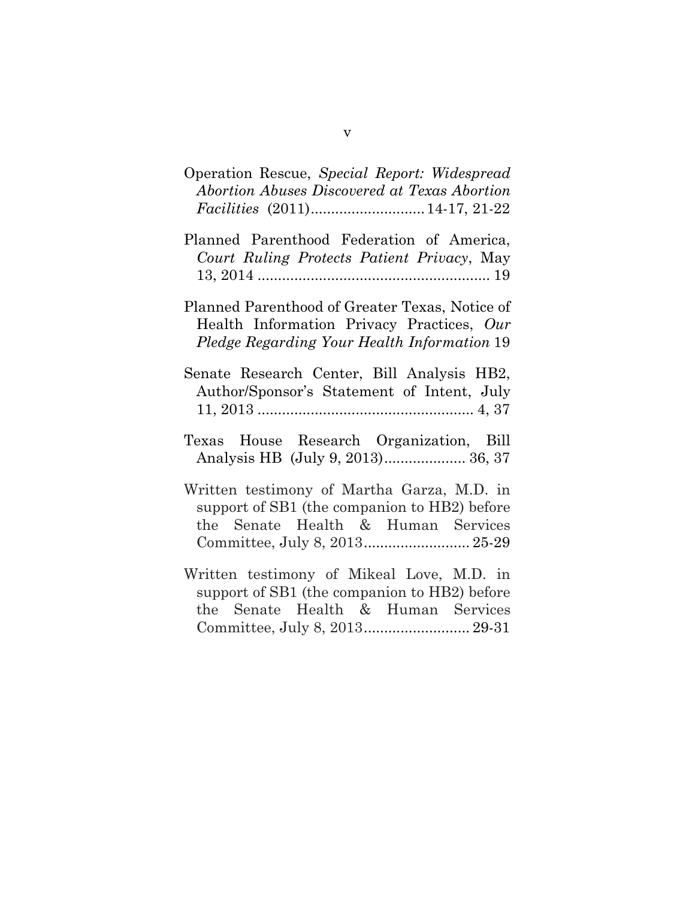| Operation Rescue, Special Report: Widespread |  |  |
|----------------------------------------------|--|--|
| Abortion Abuses Discovered at Texas Abortion |  |  |
|                                              |  |  |

- Planned Parenthood Federation of America, *Court Ruling Protects Patient Privacy*, May 13, 2014 ......................................................... 19
- Planned Parenthood of Greater Texas, Notice of Health Information Privacy Practices, *Our Pledge Regarding Your Health Information* 19
- Senate Research Center, Bill Analysis HB2, Author/Sponsor's Statement of Intent, July 11, 2013 ..................................................... 4, 37
- Texas House Research Organization, Bill Analysis HB (July 9, 2013).................... 36, 37
- Written testimony of Martha Garza, M.D. in support of SB1 (the companion to HB2) before the Senate Health & Human Services Committee, July 8, 2013.......................... 25-29
- Written testimony of Mikeal Love, M.D. in support of SB1 (the companion to HB2) before the Senate Health & Human Services Committee, July 8, 2013.......................... 29-31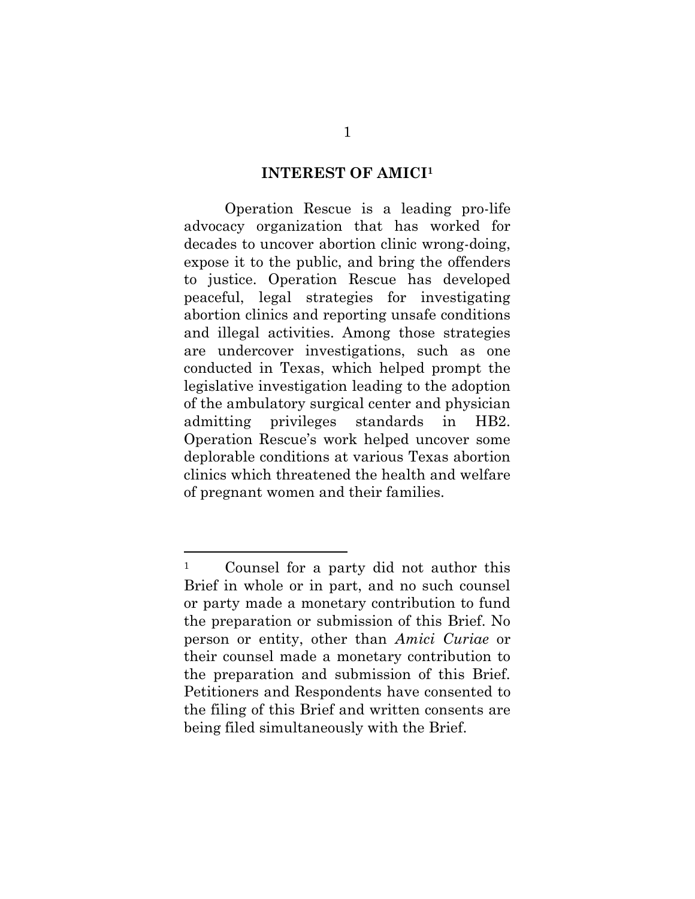#### **INTEREST OF AMICI 1**

<span id="page-6-0"></span>Operation Rescue is a leading pro-life advocacy organization that has worked for decades to uncover abortion clinic wrong-doing, expose it to the public, and bring the offenders to justice. Operation Rescue has developed peaceful, legal strategies for investigating abortion clinics and reporting unsafe conditions and illegal activities. Among those strategies are undercover investigations, such as one conducted in Texas, which helped prompt the legislative investigation leading to the adoption of the ambulatory surgical center and physician admitting privileges standards in HB2. Operation Rescue's work helped uncover some deplorable conditions at various Texas abortion clinics which threatened the health and welfare of pregnant women and their families.

 $\overline{\phantom{a}}$ 

<sup>1</sup> Counsel for a party did not author this Brief in whole or in part, and no such counsel or party made a monetary contribution to fund the preparation or submission of this Brief. No person or entity, other than *Amici Curiae* or their counsel made a monetary contribution to the preparation and submission of this Brief. Petitioners and Respondents have consented to the filing of this Brief and written consents are being filed simultaneously with the Brief.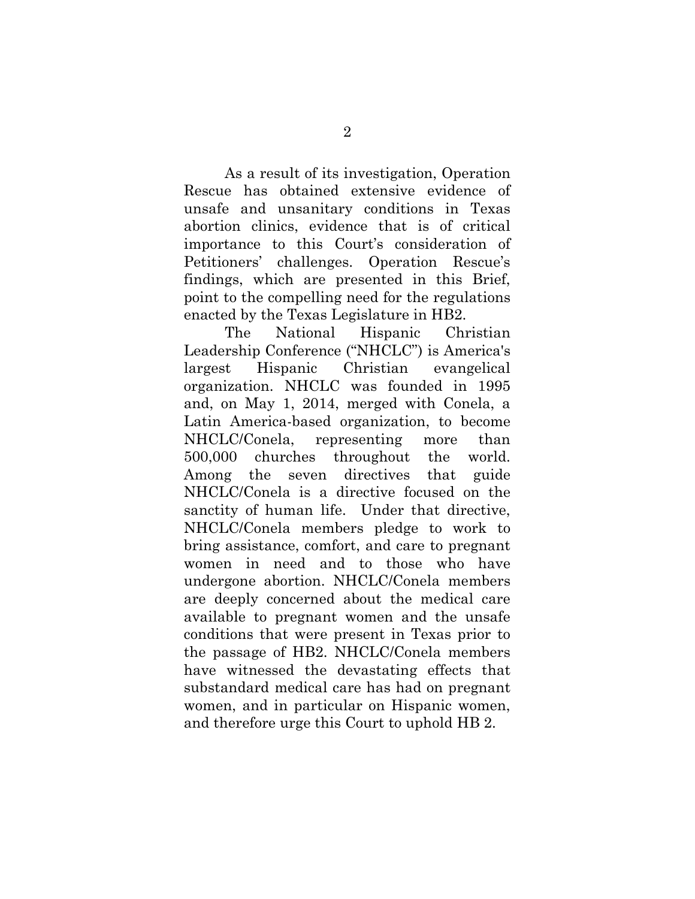As a result of its investigation, Operation Rescue has obtained extensive evidence of unsafe and unsanitary conditions in Texas abortion clinics, evidence that is of critical importance to this Court's consideration of Petitioners' challenges. Operation Rescue's findings, which are presented in this Brief, point to the compelling need for the regulations enacted by the Texas Legislature in HB2.

The National Hispanic Christian Leadership Conference ("NHCLC") is America's largest Hispanic Christian evangelical organization. NHCLC was founded in 1995 and, on May 1, 2014, merged with Conela, a Latin America-based organization, to become NHCLC/Conela, representing more than 500,000 churches throughout the world. Among the seven directives that guide NHCLC/Conela is a directive focused on the sanctity of human life. Under that directive, NHCLC/Conela members pledge to work to bring assistance, comfort, and care to pregnant women in need and to those who have undergone abortion. NHCLC/Conela members are deeply concerned about the medical care available to pregnant women and the unsafe conditions that were present in Texas prior to the passage of HB2. NHCLC/Conela members have witnessed the devastating effects that substandard medical care has had on pregnant women, and in particular on Hispanic women, and therefore urge this Court to uphold HB 2.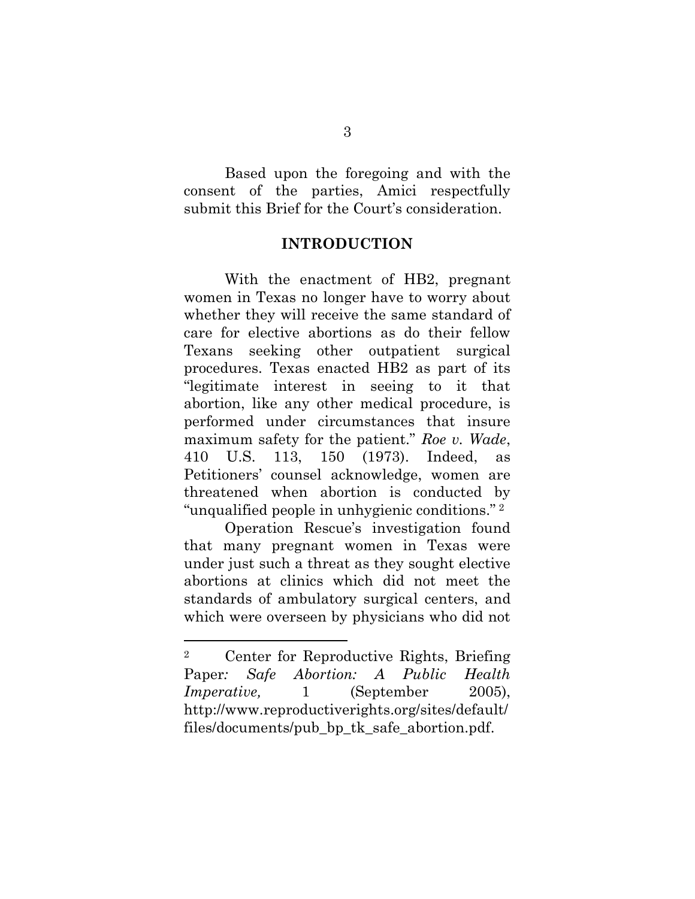Based upon the foregoing and with the consent of the parties, Amici respectfully submit this Brief for the Court's consideration.

### **INTRODUCTION**

<span id="page-8-0"></span>With the enactment of HB2, pregnant women in Texas no longer have to worry about whether they will receive the same standard of care for elective abortions as do their fellow Texans seeking other outpatient surgical procedures. Texas enacted HB2 as part of its "legitimate interest in seeing to it that abortion, like any other medical procedure, is performed under circumstances that insure maximum safety for the patient." *Roe v. Wade*, 410 U.S. 113, 150 (1973). Indeed, as Petitioners' counsel acknowledge, women are threatened when abortion is conducted by "unqualified people in unhygienic conditions." <sup>2</sup>

Operation Rescue's investigation found that many pregnant women in Texas were under just such a threat as they sought elective abortions at clinics which did not meet the standards of ambulatory surgical centers, and which were overseen by physicians who did not

 $\overline{\phantom{a}}$ 

<sup>2</sup> Center for Reproductive Rights, Briefing Paper*: Safe Abortion: A Public Health Imperative,* 1 (September 2005), http://www.reproductiverights.org/sites/default/ files/documents/pub\_bp\_tk\_safe\_abortion.pdf.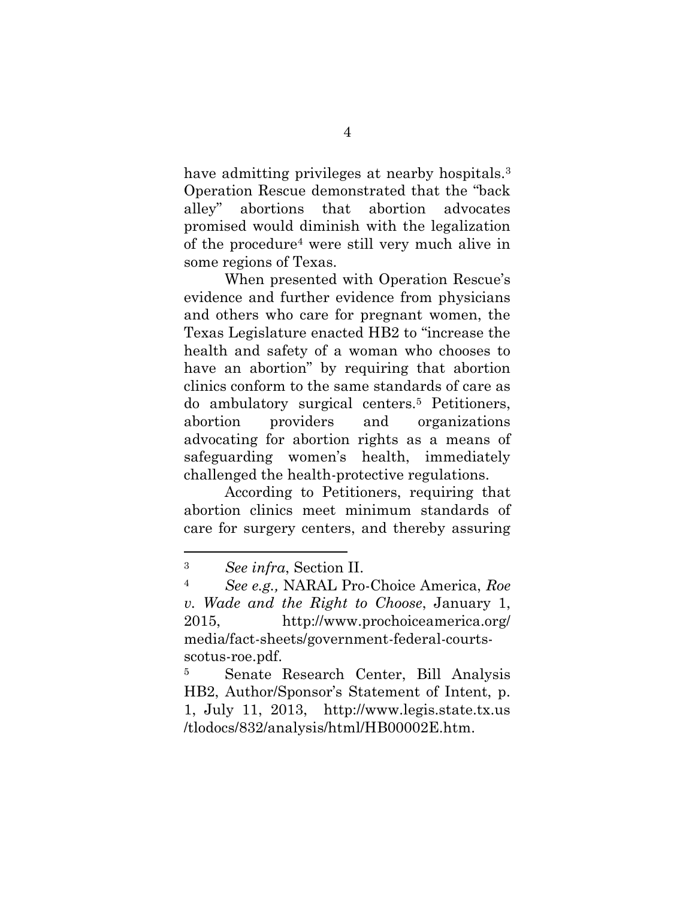have admitting privileges at nearby hospitals.<sup>3</sup> Operation Rescue demonstrated that the "back alley" abortions that abortion advocates promised would diminish with the legalization of the procedure<sup>4</sup> were still very much alive in some regions of Texas.

When presented with Operation Rescue's evidence and further evidence from physicians and others who care for pregnant women, the Texas Legislature enacted HB2 to "increase the health and safety of a woman who chooses to have an abortion" by requiring that abortion clinics conform to the same standards of care as do ambulatory surgical centers.<sup>5</sup> Petitioners, abortion providers and organizations advocating for abortion rights as a means of safeguarding women's health, immediately challenged the health-protective regulations.

According to Petitioners, requiring that abortion clinics meet minimum standards of care for surgery centers, and thereby assuring

 $\overline{\phantom{a}}$ 

<sup>5</sup> Senate Research Center, Bill Analysis HB2, Author/Sponsor's Statement of Intent, p. 1, July 11, 2013, http://www.legis.state.tx.us /tlodocs/832/analysis/html/HB00002E.htm.

<sup>3</sup> *See infra*, Section II.

<sup>4</sup> *See e.g.,* NARAL Pro-Choice America, *Roe v. Wade and the Right to Choose*, January 1, 2015, http://www.prochoiceamerica.org/ media/fact-sheets/government-federal-courtsscotus-roe.pdf.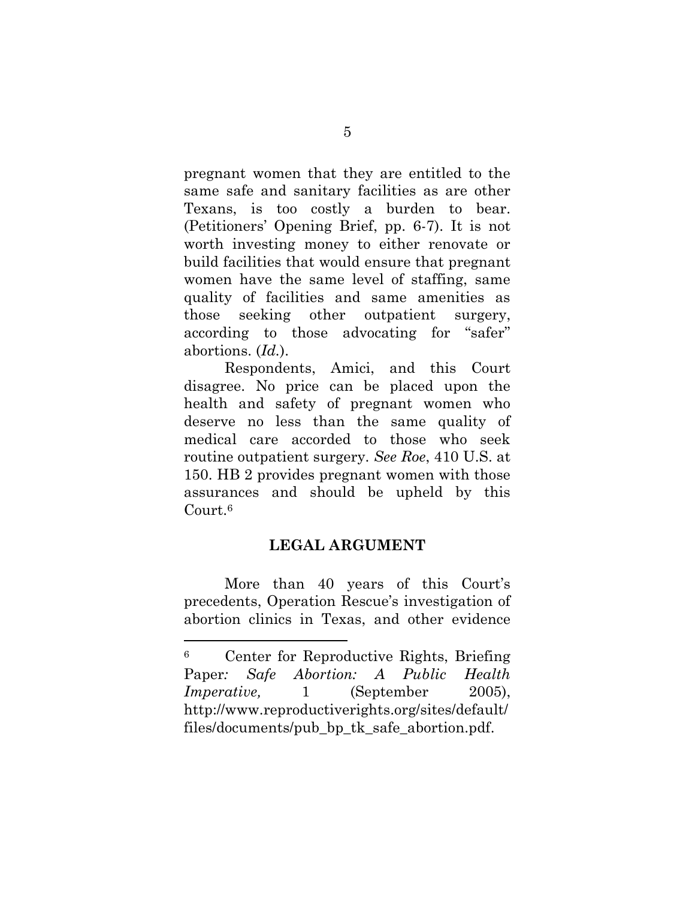pregnant women that they are entitled to the same safe and sanitary facilities as are other Texans, is too costly a burden to bear. (Petitioners' Opening Brief, pp. 6-7). It is not worth investing money to either renovate or build facilities that would ensure that pregnant women have the same level of staffing, same quality of facilities and same amenities as those seeking other outpatient surgery, according to those advocating for "safer" abortions. (*Id.*).

Respondents, Amici, and this Court disagree. No price can be placed upon the health and safety of pregnant women who deserve no less than the same quality of medical care accorded to those who seek routine outpatient surgery. *See Roe*, 410 U.S. at 150. HB 2 provides pregnant women with those assurances and should be upheld by this Court.<sup>6</sup>

### **LEGAL ARGUMENT**

<span id="page-10-0"></span>More than 40 years of this Court's precedents, Operation Rescue's investigation of abortion clinics in Texas, and other evidence

 $\overline{\phantom{a}}$ 

<sup>6</sup> Center for Reproductive Rights, Briefing Paper*: Safe Abortion: A Public Health Imperative,* 1 (September 2005), http://www.reproductiverights.org/sites/default/ files/documents/pub\_bp\_tk\_safe\_abortion.pdf.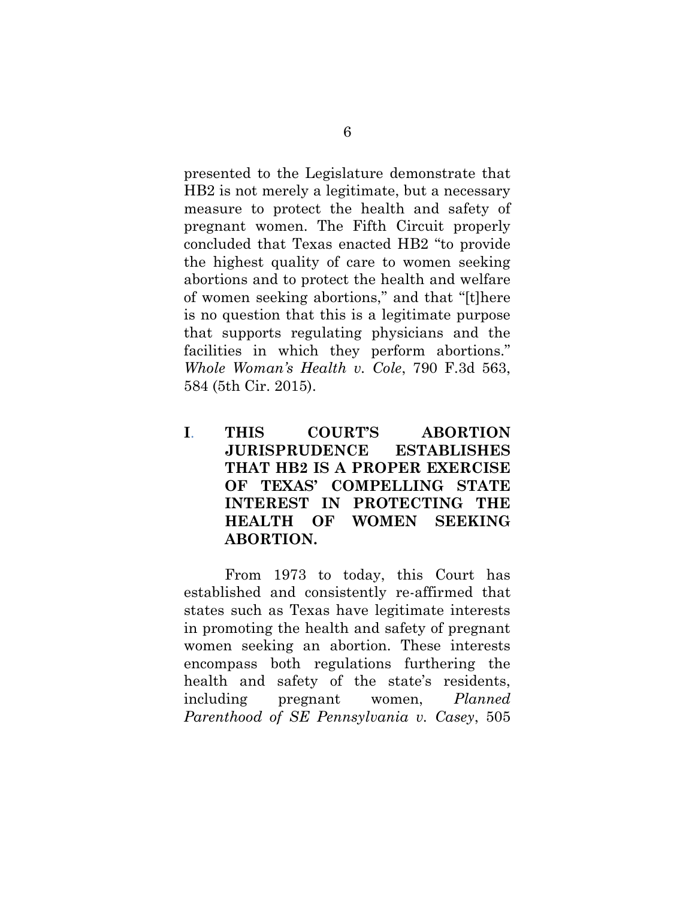presented to the Legislature demonstrate that HB2 is not merely a legitimate, but a necessary measure to protect the health and safety of pregnant women. The Fifth Circuit properly concluded that Texas enacted HB2 "to provide the highest quality of care to women seeking abortions and to protect the health and welfare of women seeking abortions," and that "[t]here is no question that this is a legitimate purpose that supports regulating physicians and the facilities in which they perform abortions." *Whole Woman's Health v. Cole*, 790 F.3d 563, 584 (5th Cir. 2015).

<span id="page-11-0"></span>**I**. **THIS COURT'S ABORTION JURISPRUDENCE ESTABLISHES THAT HB2 IS A PROPER EXERCISE OF TEXAS' COMPELLING STATE INTEREST IN PROTECTING THE HEALTH OF WOMEN SEEKING ABORTION.**

From 1973 to today, this Court has established and consistently re-affirmed that states such as Texas have legitimate interests in promoting the health and safety of pregnant women seeking an abortion. These interests encompass both regulations furthering the health and safety of the state's residents, including pregnant women, *Planned Parenthood of SE Pennsylvania v. Casey*, 505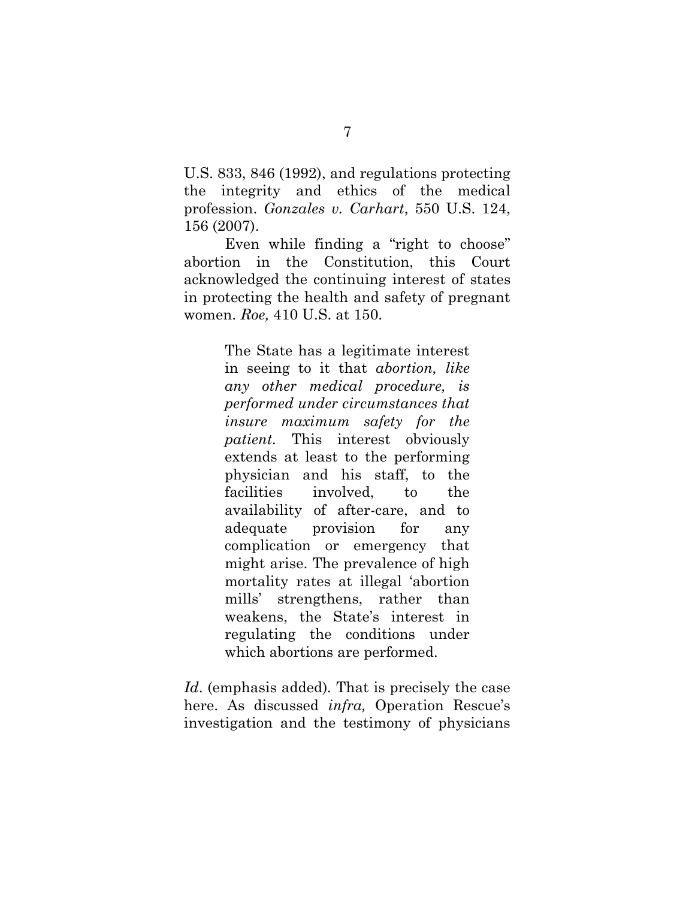U.S. 833, 846 (1992), and regulations protecting the integrity and ethics of the medical profession. *Gonzales v. Carhart*, 550 U.S. 124, 156 (2007).

Even while finding a "right to choose" abortion in the Constitution, this Court acknowledged the continuing interest of states in protecting the health and safety of pregnant women. *Roe,* 410 U.S. at 150.

> The State has a legitimate interest in seeing to it that *abortion, like any other medical procedure, is performed under circumstances that insure maximum safety for the patient.* This interest obviously extends at least to the performing physician and his staff, to the facilities involved, to the availability of after-care, and to adequate provision for any complication or emergency that might arise. The prevalence of high mortality rates at illegal 'abortion mills' strengthens, rather than weakens, the State's interest in regulating the conditions under which abortions are performed.

*Id*. (emphasis added)*.* That is precisely the case here. As discussed *infra,* Operation Rescue's investigation and the testimony of physicians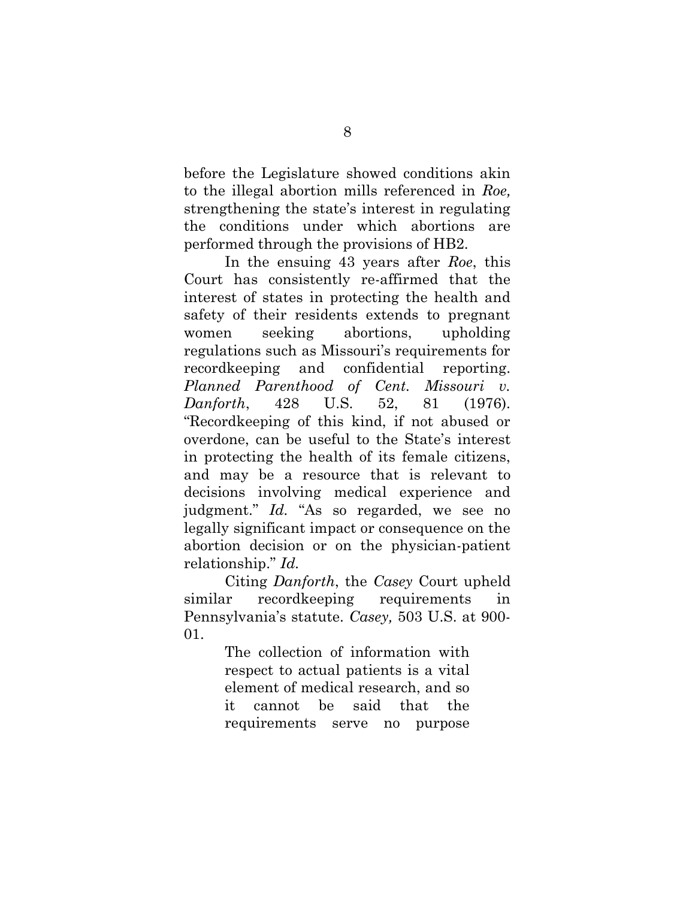before the Legislature showed conditions akin to the illegal abortion mills referenced in *Roe,*  strengthening the state's interest in regulating the conditions under which abortions are performed through the provisions of HB2.

In the ensuing 43 years after *Roe*, this Court has consistently re-affirmed that the interest of states in protecting the health and safety of their residents extends to pregnant women seeking abortions, upholding regulations such as Missouri's requirements for recordkeeping and confidential reporting. *Planned Parenthood of Cent. Missouri v. Danforth*, 428 U.S. 52, 81 (1976). "Recordkeeping of this kind, if not abused or overdone, can be useful to the State's interest in protecting the health of its female citizens, and may be a resource that is relevant to decisions involving medical experience and judgment." *Id.* "As so regarded, we see no legally significant impact or consequence on the abortion decision or on the physician-patient relationship." *Id.*

Citing *Danforth*, the *Casey* Court upheld similar recordkeeping requirements in Pennsylvania's statute. *Casey,* 503 U.S. at 900- 01.

> The collection of information with respect to actual patients is a vital element of medical research, and so it cannot be said that the requirements serve no purpose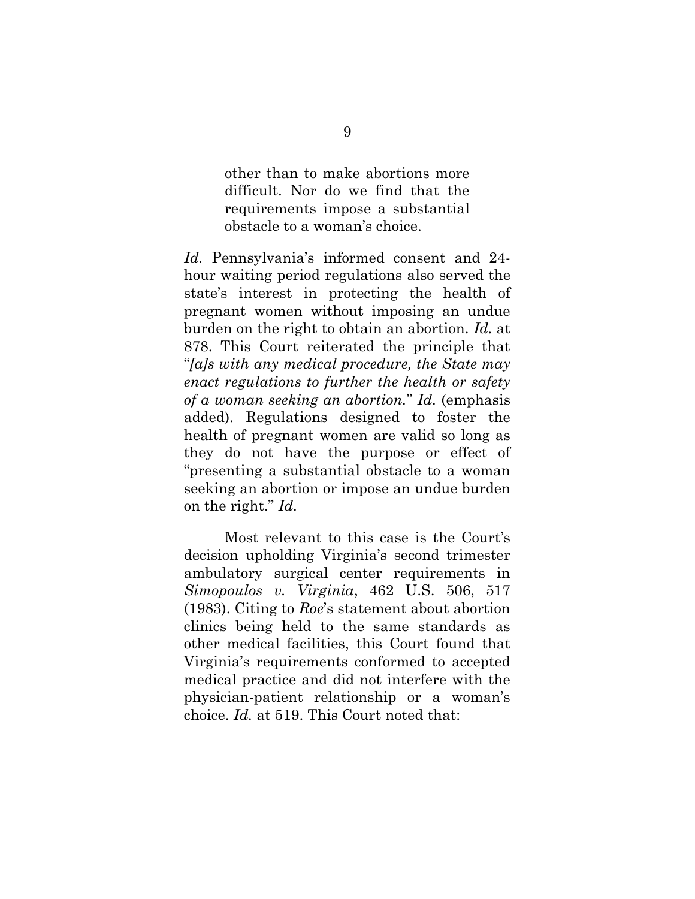other than to make abortions more difficult. Nor do we find that the requirements impose a substantial obstacle to a woman's choice.

*Id.* Pennsylvania's informed consent and 24 hour waiting period regulations also served the state's interest in protecting the health of pregnant women without imposing an undue burden on the right to obtain an abortion. *Id.* at 878. This Court reiterated the principle that "*[a]s with any medical procedure, the State may enact regulations to further the health or safety of a woman seeking an abortion.*" *Id.* (emphasis added). Regulations designed to foster the health of pregnant women are valid so long as they do not have the purpose or effect of "presenting a substantial obstacle to a woman seeking an abortion or impose an undue burden on the right." *Id.*

Most relevant to this case is the Court's decision upholding Virginia's second trimester ambulatory surgical center requirements in *Simopoulos v. Virginia*, 462 U.S. 506, 517 (1983). Citing to *Roe*'s statement about abortion clinics being held to the same standards as other medical facilities, this Court found that Virginia's requirements conformed to accepted medical practice and did not interfere with the physician-patient relationship or a woman's choice. *Id.* at 519. This Court noted that: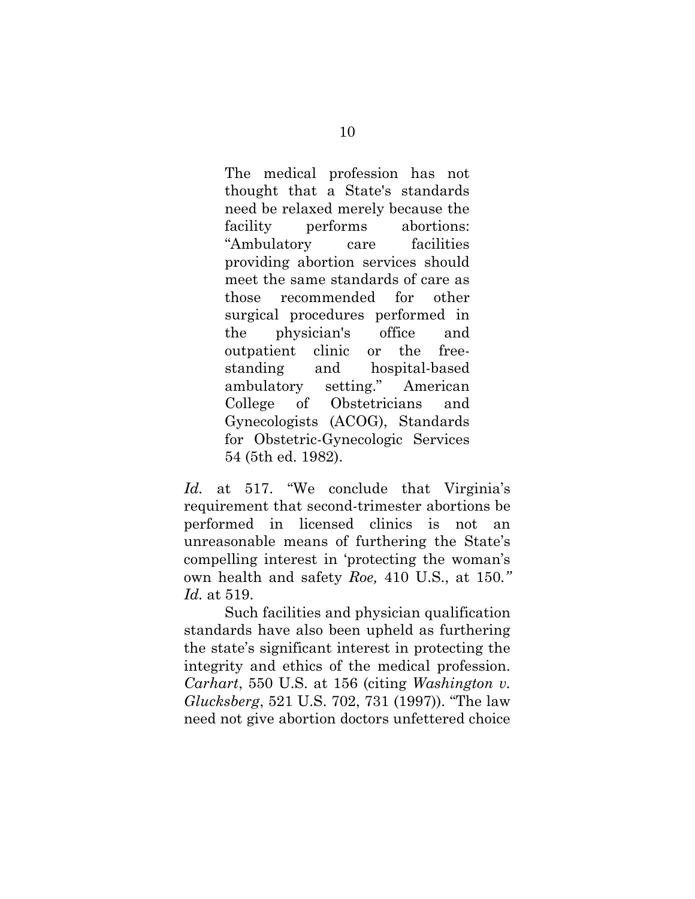The medical profession has not thought that a State's standards need be relaxed merely because the facility performs abortions: "Ambulatory care facilities providing abortion services should meet the same standards of care as those recommended for other surgical procedures performed in the physician's office and outpatient clinic or the freestanding and hospital-based ambulatory setting." American College of Obstetricians and Gynecologists (ACOG), Standards for Obstetric-Gynecologic Services 54 (5th ed. 1982).

*Id.* at 517. "We conclude that Virginia's requirement that second-trimester abortions be performed in licensed clinics is not an unreasonable means of furthering the State's compelling interest in 'protecting the woman's own health and safety *Roe,* 410 U.S., at 150*." Id.* at 519.

Such facilities and physician qualification standards have also been upheld as furthering the state's significant interest in protecting the integrity and ethics of the medical profession. *Carhart*, 550 U.S. at 156 (citing *Washington v. Glucksberg*, 521 U.S. 702, 731 (1997)). "The law need not give abortion doctors unfettered choice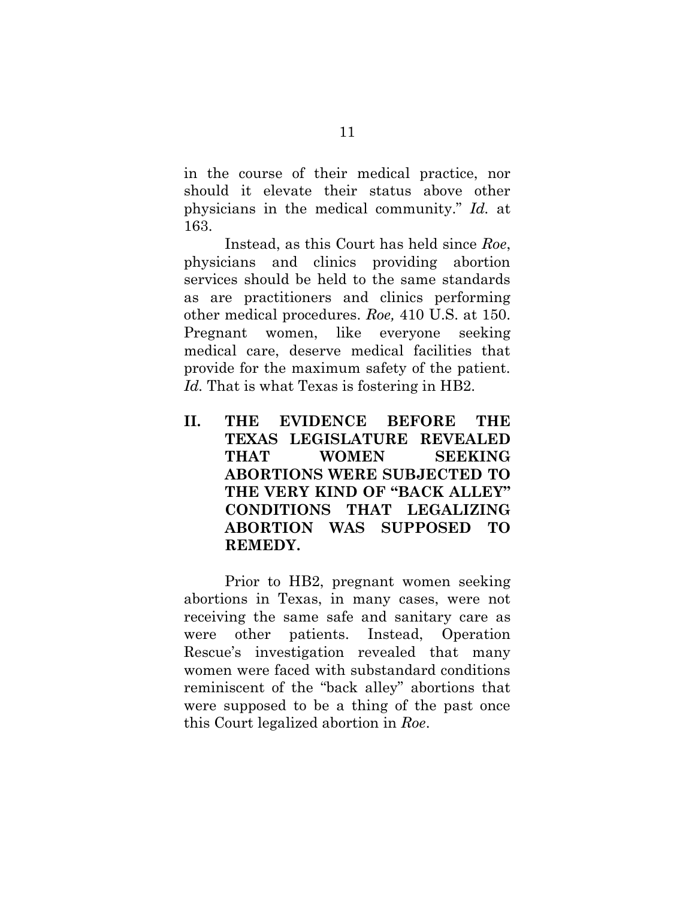in the course of their medical practice, nor should it elevate their status above other physicians in the medical community." *Id.* at 163.

Instead, as this Court has held since *Roe*, physicians and clinics providing abortion services should be held to the same standards as are practitioners and clinics performing other medical procedures. *Roe,* 410 U.S. at 150. Pregnant women, like everyone seeking medical care, deserve medical facilities that provide for the maximum safety of the patient. Id. That is what Texas is fostering in HB2.

<span id="page-16-0"></span>**II. THE EVIDENCE BEFORE THE TEXAS LEGISLATURE REVEALED THAT WOMEN SEEKING ABORTIONS WERE SUBJECTED TO THE VERY KIND OF "BACK ALLEY" CONDITIONS THAT LEGALIZING ABORTION WAS SUPPOSED TO REMEDY.**

Prior to HB2, pregnant women seeking abortions in Texas, in many cases, were not receiving the same safe and sanitary care as were other patients. Instead, Operation Rescue's investigation revealed that many women were faced with substandard conditions reminiscent of the "back alley" abortions that were supposed to be a thing of the past once this Court legalized abortion in *Roe*.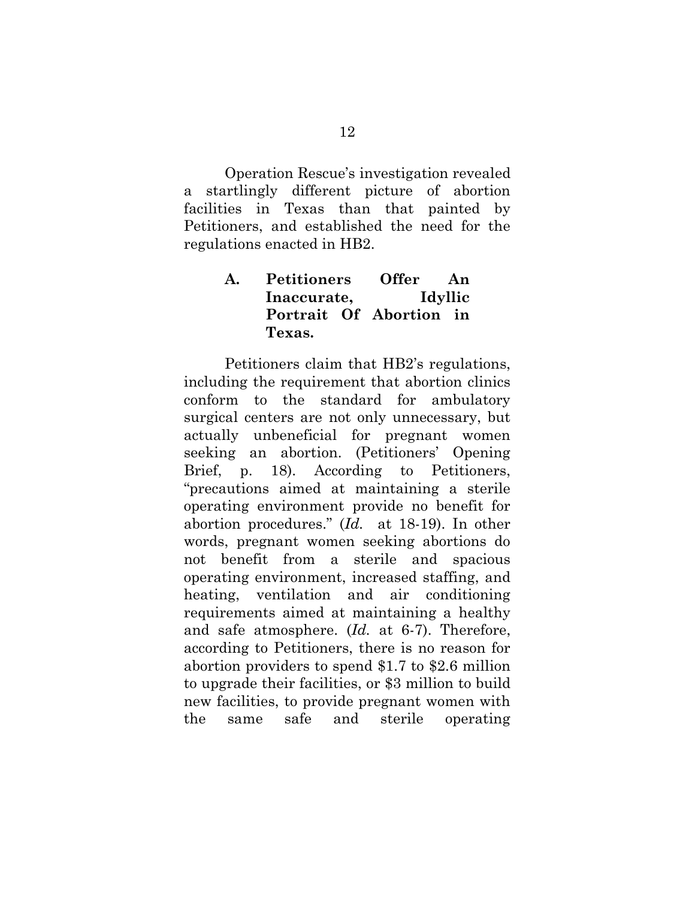Operation Rescue's investigation revealed a startlingly different picture of abortion facilities in Texas than that painted by Petitioners, and established the need for the regulations enacted in HB2.

## <span id="page-17-0"></span>**A. Petitioners Offer An Inaccurate, Idyllic Portrait Of Abortion in Texas.**

Petitioners claim that HB2's regulations, including the requirement that abortion clinics conform to the standard for ambulatory surgical centers are not only unnecessary, but actually unbeneficial for pregnant women seeking an abortion. (Petitioners' Opening Brief, p. 18). According to Petitioners, "precautions aimed at maintaining a sterile operating environment provide no benefit for abortion procedures." (*Id.* at 18-19). In other words, pregnant women seeking abortions do not benefit from a sterile and spacious operating environment, increased staffing, and heating, ventilation and air conditioning requirements aimed at maintaining a healthy and safe atmosphere. (*Id.* at 6-7). Therefore, according to Petitioners, there is no reason for abortion providers to spend \$1.7 to \$2.6 million to upgrade their facilities, or \$3 million to build new facilities, to provide pregnant women with the same safe and sterile operating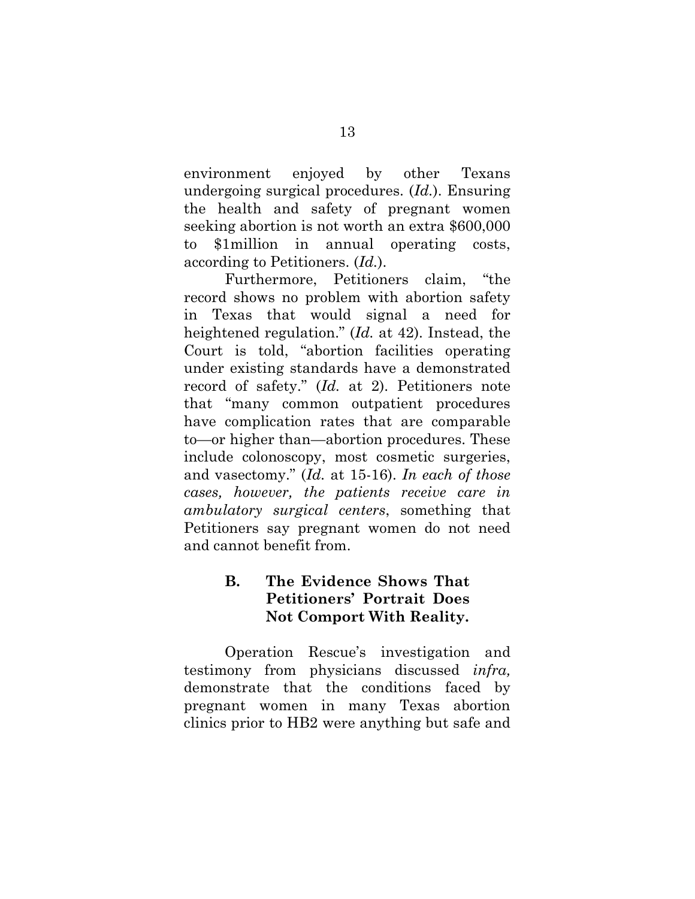environment enjoyed by other Texans undergoing surgical procedures. (*Id.*). Ensuring the health and safety of pregnant women seeking abortion is not worth an extra \$600,000 to \$1million in annual operating costs, according to Petitioners. (*Id.*).

Furthermore, Petitioners claim, "the record shows no problem with abortion safety in Texas that would signal a need for heightened regulation." (*Id.* at 42). Instead, the Court is told, "abortion facilities operating under existing standards have a demonstrated record of safety." (*Id.* at 2). Petitioners note that "many common outpatient procedures have complication rates that are comparable to—or higher than—abortion procedures. These include colonoscopy, most cosmetic surgeries, and vasectomy." (*Id.* at 15-16). *In each of those cases, however, the patients receive care in ambulatory surgical centers*, something that Petitioners say pregnant women do not need and cannot benefit from.

# <span id="page-18-0"></span>**B. The Evidence Shows That Petitioners' Portrait Does Not Comport With Reality.**

Operation Rescue's investigation and testimony from physicians discussed *infra,*  demonstrate that the conditions faced by pregnant women in many Texas abortion clinics prior to HB2 were anything but safe and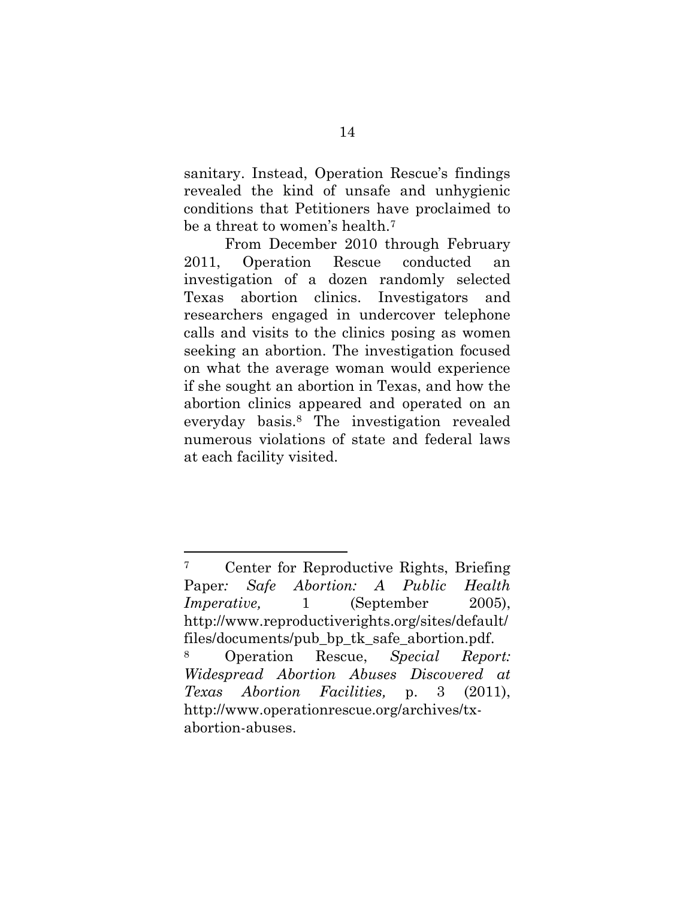sanitary. Instead, Operation Rescue's findings revealed the kind of unsafe and unhygienic conditions that Petitioners have proclaimed to be a threat to women's health.<sup>7</sup>

From December 2010 through February 2011, Operation Rescue conducted an investigation of a dozen randomly selected Texas abortion clinics. Investigators and researchers engaged in undercover telephone calls and visits to the clinics posing as women seeking an abortion. The investigation focused on what the average woman would experience if she sought an abortion in Texas, and how the abortion clinics appeared and operated on an everyday basis.<sup>8</sup> The investigation revealed numerous violations of state and federal laws at each facility visited.

 $\overline{\phantom{a}}$ 

<sup>7</sup> Center for Reproductive Rights, Briefing Paper*: Safe Abortion: A Public Health Imperative,* 1 (September 2005), http://www.reproductiverights.org/sites/default/ files/documents/pub\_bp\_tk\_safe\_abortion.pdf. <sup>8</sup> Operation Rescue, *Special Report: Widespread Abortion Abuses Discovered at Texas Abortion Facilities,* p. 3 (2011), http://www.operationrescue.org/archives/tx-

abortion-abuses.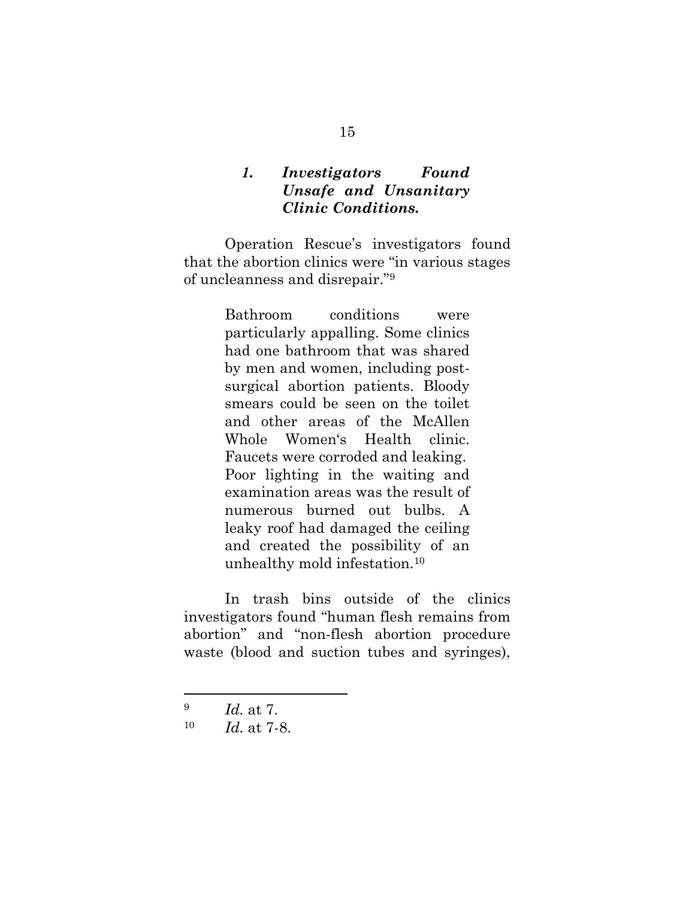## <span id="page-20-0"></span>*1. Investigators Found Unsafe and Unsanitary Clinic Conditions.*

Operation Rescue's investigators found that the abortion clinics were "in various stages of uncleanness and disrepair."<sup>9</sup>

> Bathroom conditions were particularly appalling. Some clinics had one bathroom that was shared by men and women, including postsurgical abortion patients. Bloody smears could be seen on the toilet and other areas of the McAllen Whole Women's Health clinic. Faucets were corroded and leaking. Poor lighting in the waiting and examination areas was the result of numerous burned out bulbs. A leaky roof had damaged the ceiling and created the possibility of an unhealthy mold infestation.<sup>10</sup>

In trash bins outside of the clinics investigators found "human flesh remains from abortion" and "non-flesh abortion procedure waste (blood and suction tubes and syringes),

<sup>9</sup> *Id.* at 7.

<sup>10</sup> *Id.* at 7-8.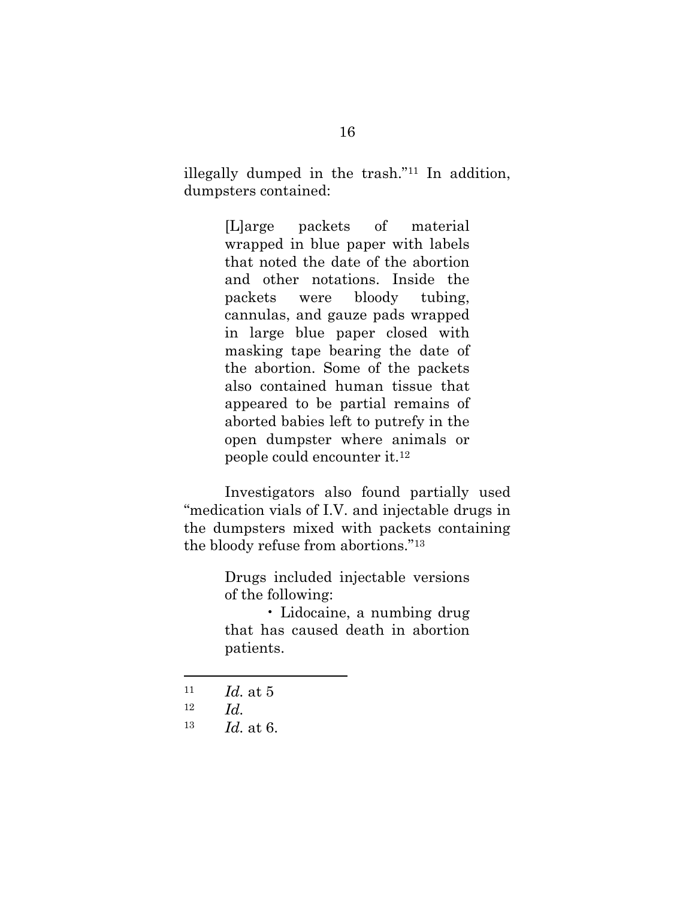illegally dumped in the trash."<sup>11</sup> In addition, dumpsters contained:

> [L]arge packets of material wrapped in blue paper with labels that noted the date of the abortion and other notations. Inside the packets were bloody tubing, cannulas, and gauze pads wrapped in large blue paper closed with masking tape bearing the date of the abortion. Some of the packets also contained human tissue that appeared to be partial remains of aborted babies left to putrefy in the open dumpster where animals or people could encounter it.<sup>12</sup>

Investigators also found partially used "medication vials of I.V. and injectable drugs in the dumpsters mixed with packets containing the bloody refuse from abortions." 13

> Drugs included injectable versions of the following:

> • Lidocaine, a numbing drug that has caused death in abortion patients.

- <sup>11</sup> *Id.* at 5
- <sup>12</sup> *Id.*

 $\overline{a}$ 

<sup>13</sup> *Id.* at 6.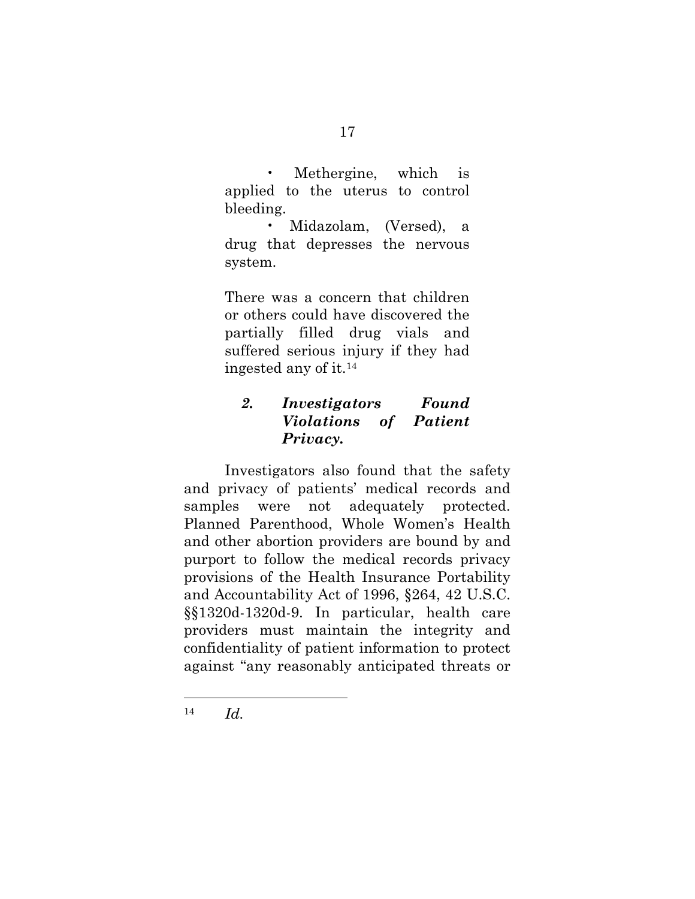Methergine, which is applied to the uterus to control bleeding.

• Midazolam, (Versed), a drug that depresses the nervous system.

There was a concern that children or others could have discovered the partially filled drug vials and suffered serious injury if they had ingested any of it.<sup>14</sup>

# <span id="page-22-0"></span>*2. Investigators Found Violations of Patient Privacy.*

Investigators also found that the safety and privacy of patients' medical records and samples were not adequately protected. Planned Parenthood, Whole Women's Health and other abortion providers are bound by and purport to follow the medical records privacy provisions of the Health Insurance Portability and Accountability Act of 1996, §264, 42 U.S.C. §§1320d-1320d-9. In particular, health care providers must maintain the integrity and confidentiality of patient information to protect against "any reasonably anticipated threats or

<sup>14</sup> *Id.*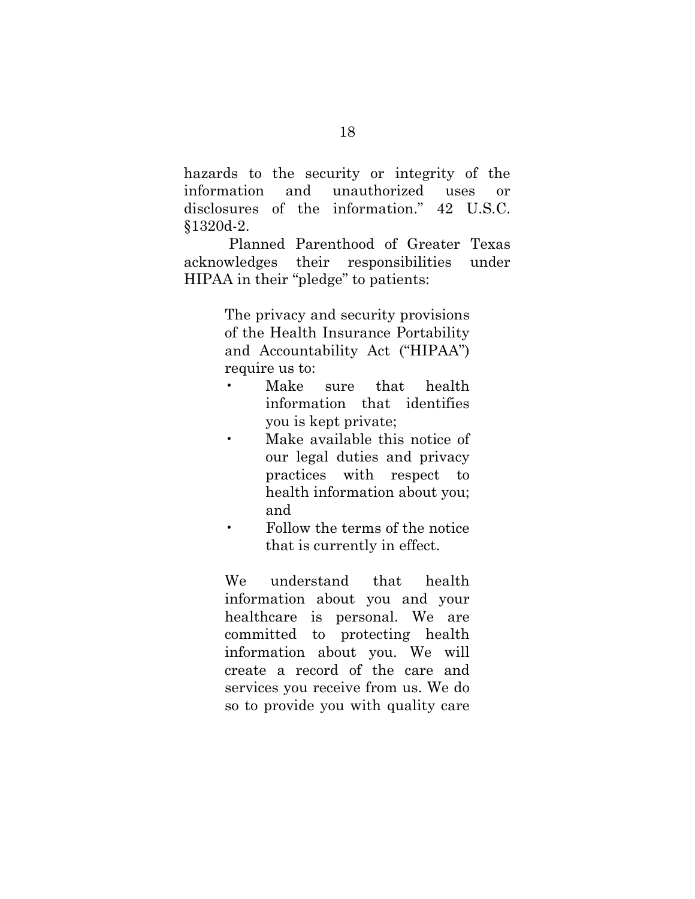hazards to the security or integrity of the information and unauthorized uses or disclosures of the information." 42 U.S.C. §1320d-2.

Planned Parenthood of Greater Texas acknowledges their responsibilities under HIPAA in their "pledge" to patients:

> The privacy and security provisions of the Health Insurance Portability and Accountability Act ("HIPAA") require us to:

- Make sure that health information that identifies you is kept private;
- Make available this notice of our legal duties and privacy practices with respect to health information about you; and
- Follow the terms of the notice that is currently in effect.

We understand that health information about you and your healthcare is personal. We are committed to protecting health information about you. We will create a record of the care and services you receive from us. We do so to provide you with quality care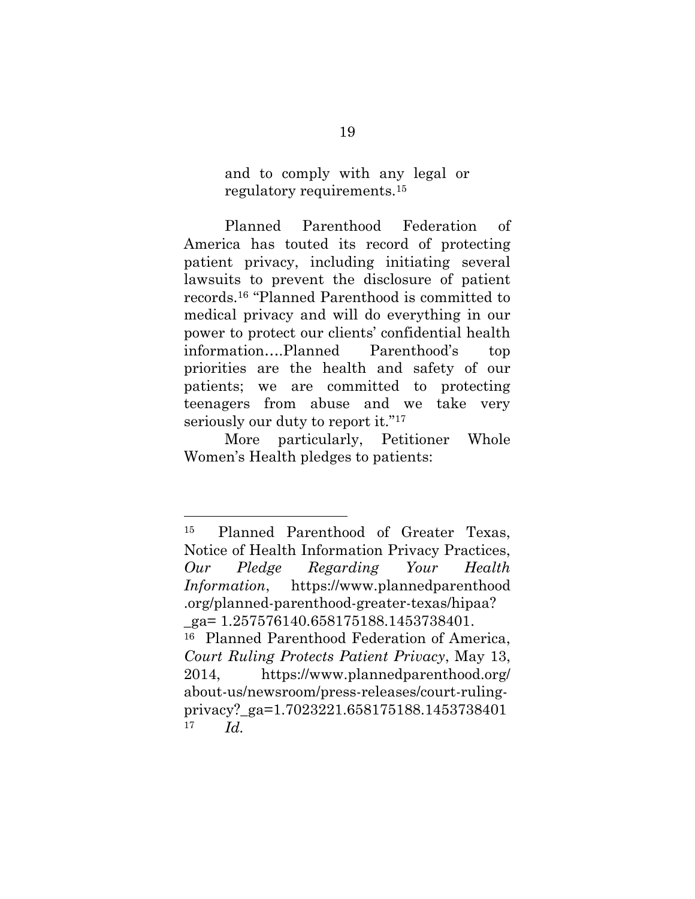and to comply with any legal or regulatory requirements.<sup>15</sup>

Planned Parenthood Federation of America has touted its record of protecting patient privacy, including initiating several lawsuits to prevent the disclosure of patient records.<sup>16</sup> "Planned Parenthood is committed to medical privacy and will do everything in our power to protect our clients' confidential health information….Planned Parenthood's top priorities are the health and safety of our patients; we are committed to protecting teenagers from abuse and we take very seriously our duty to report it."<sup>17</sup>

More particularly, Petitioner Whole Women's Health pledges to patients:

<sup>15</sup> Planned Parenthood of Greater Texas, Notice of Health Information Privacy Practices, *Our Pledge Regarding Your Health Information*, https://www.plannedparenthood .org/planned-parenthood-greater-texas/hipaa?  $ga= 1.257576140.658175188.1453738401.$ <sup>16</sup> Planned Parenthood Federation of America, *Court Ruling Protects Patient Privacy*, May 13, 2014, https://www.plannedparenthood.org/ about-us/newsroom/press-releases/court-rulingprivacy?\_ga=1.7023221.658175188.1453738401 <sup>17</sup> *Id.*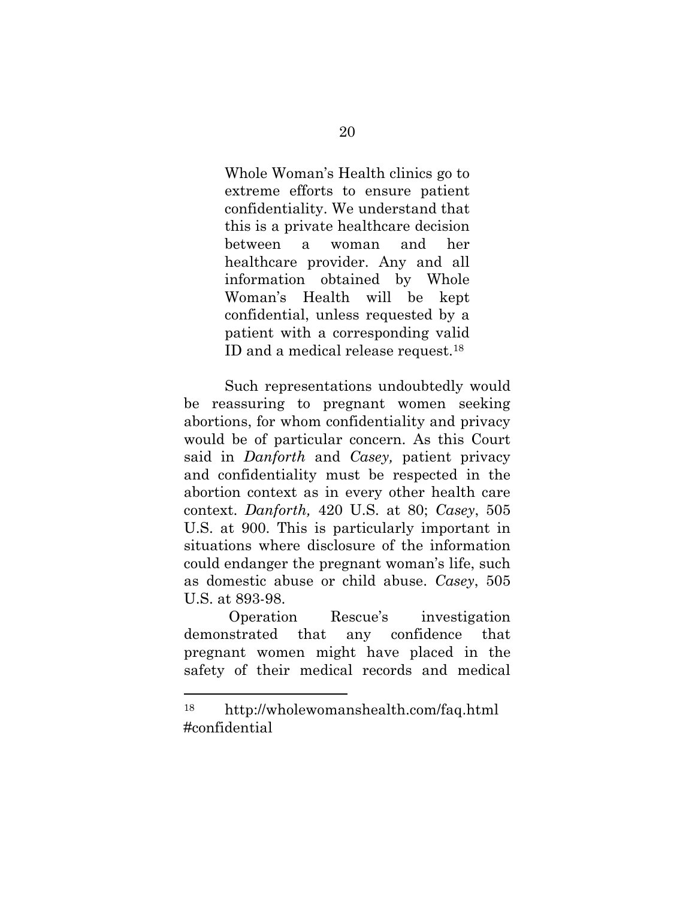Whole Woman's Health clinics go to extreme efforts to ensure patient confidentiality. We understand that this is a private healthcare decision between a woman and her healthcare provider. Any and all information obtained by Whole Woman's Health will be kept confidential, unless requested by a patient with a corresponding valid ID and a medical release request.<sup>18</sup>

Such representations undoubtedly would be reassuring to pregnant women seeking abortions, for whom confidentiality and privacy would be of particular concern. As this Court said in *Danforth* and *Casey,* patient privacy and confidentiality must be respected in the abortion context as in every other health care context. *Danforth,* 420 U.S. at 80; *Casey*, 505 U.S. at 900. This is particularly important in situations where disclosure of the information could endanger the pregnant woman's life, such as domestic abuse or child abuse. *Casey*, 505 U.S. at 893-98.

Operation Rescue's investigation demonstrated that any confidence that pregnant women might have placed in the safety of their medical records and medical

<sup>18</sup> http://wholewomanshealth.com/faq.html #confidential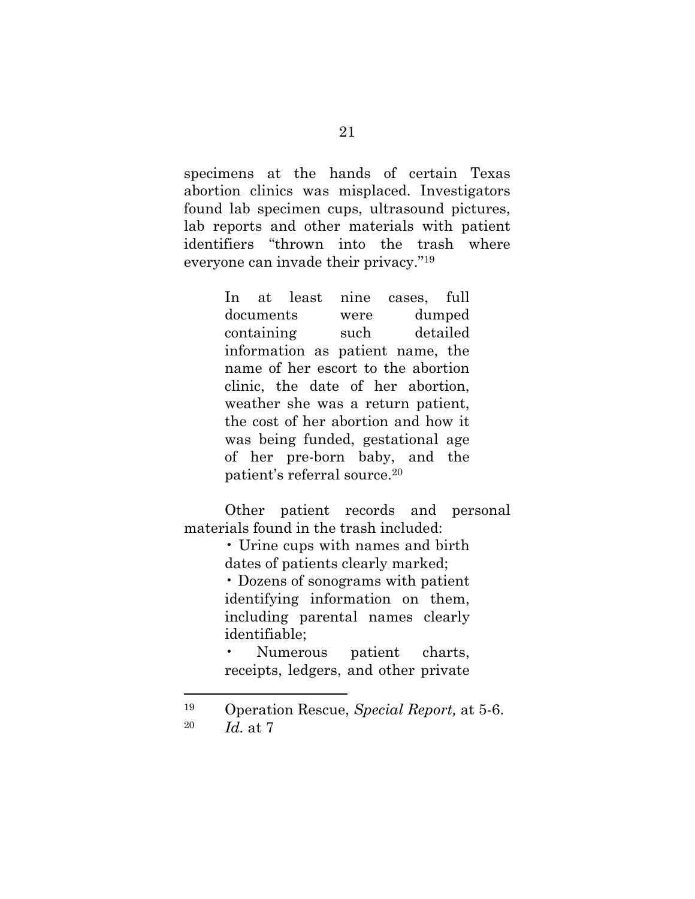specimens at the hands of certain Texas abortion clinics was misplaced. Investigators found lab specimen cups, ultrasound pictures, lab reports and other materials with patient identifiers "thrown into the trash where everyone can invade their privacy." 19

> In at least nine cases, full documents were dumped containing such detailed information as patient name, the name of her escort to the abortion clinic, the date of her abortion, weather she was a return patient, the cost of her abortion and how it was being funded, gestational age of her pre-born baby, and the patient's referral source.<sup>20</sup>

Other patient records and personal materials found in the trash included:

> • Urine cups with names and birth dates of patients clearly marked;

• Dozens of sonograms with patient identifying information on them, including parental names clearly identifiable;

Numerous patient charts, receipts, ledgers, and other private

<sup>19</sup> Operation Rescue, *Special Report,* at 5-6. <sup>20</sup> *Id.* at 7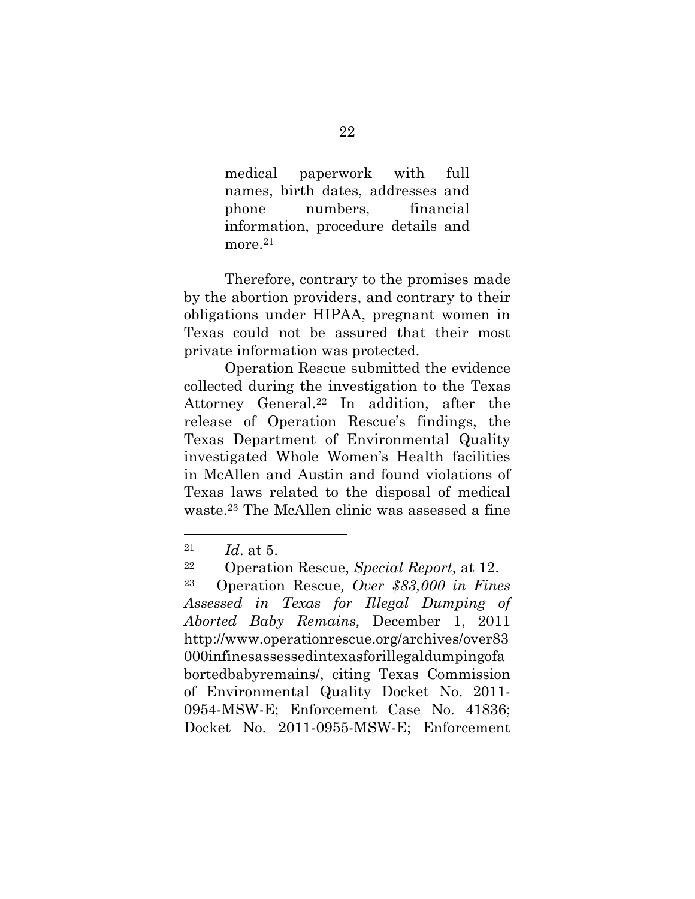medical paperwork with full names, birth dates, addresses and phone numbers, financial information, procedure details and more.<sup>21</sup>

Therefore, contrary to the promises made by the abortion providers, and contrary to their obligations under HIPAA, pregnant women in Texas could not be assured that their most private information was protected.

Operation Rescue submitted the evidence collected during the investigation to the Texas Attorney General.<sup>22</sup> In addition, after the release of Operation Rescue's findings, the Texas Department of Environmental Quality investigated Whole Women's Health facilities in McAllen and Austin and found violations of Texas laws related to the disposal of medical waste.<sup>23</sup> The McAllen clinic was assessed a fine

 $\overline{\phantom{a}}$ 

<sup>21</sup> *Id*. at 5.

<sup>22</sup> Operation Rescue, *Special Report,* at 12.

<sup>23</sup> Operation Rescue*, Over \$83,000 in Fines Assessed in Texas for Illegal Dumping of Aborted Baby Remains,* December 1, 2011 http://www.operationrescue.org/archives/over83 000infinesassessedintexasforillegaldumpingofa bortedbabyremains/, citing Texas Commission of Environmental Quality Docket No. 2011- 0954-MSW-E; Enforcement Case No. 41836; Docket No. 2011-0955-MSW-E; Enforcement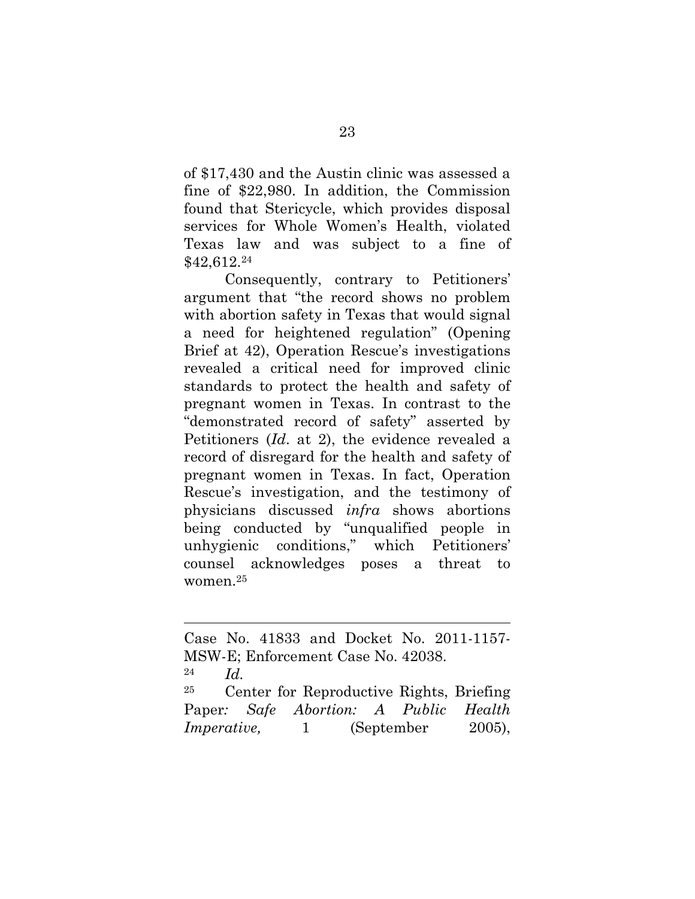of \$17,430 and the Austin clinic was assessed a fine of \$22,980. In addition, the Commission found that Stericycle, which provides disposal services for Whole Women's Health, violated Texas law and was subject to a fine of \$42,612.<sup>24</sup>

Consequently, contrary to Petitioners' argument that "the record shows no problem with abortion safety in Texas that would signal a need for heightened regulation" (Opening Brief at 42), Operation Rescue's investigations revealed a critical need for improved clinic standards to protect the health and safety of pregnant women in Texas. In contrast to the "demonstrated record of safety" asserted by Petitioners (*Id*. at 2), the evidence revealed a record of disregard for the health and safety of pregnant women in Texas. In fact, Operation Rescue's investigation, and the testimony of physicians discussed *infra* shows abortions being conducted by "unqualified people in unhygienic conditions," which Petitioners' counsel acknowledges poses a threat to women.<sup>25</sup>

l

<sup>25</sup> Center for Reproductive Rights, Briefing Paper*: Safe Abortion: A Public Health Imperative,* 1 (September 2005),

Case No. 41833 and Docket No. 2011-1157- MSW-E; Enforcement Case No. 42038. <sup>24</sup> *Id.*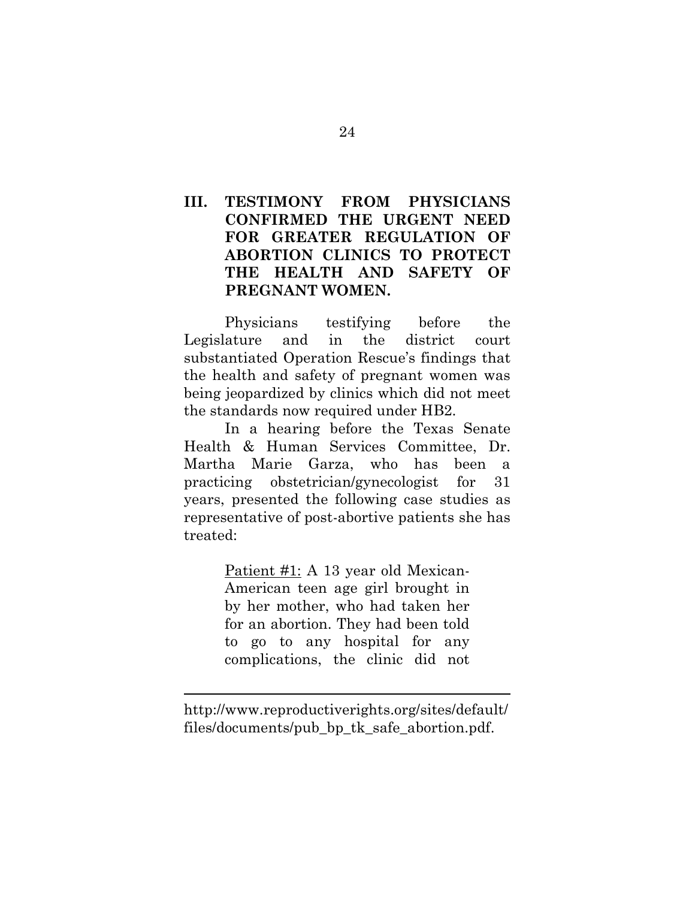# <span id="page-29-0"></span>**III. TESTIMONY FROM PHYSICIANS CONFIRMED THE URGENT NEED FOR GREATER REGULATION OF ABORTION CLINICS TO PROTECT THE HEALTH AND SAFETY OF PREGNANT WOMEN.**

Physicians testifying before the Legislature and in the district court substantiated Operation Rescue's findings that the health and safety of pregnant women was being jeopardized by clinics which did not meet the standards now required under HB2.

In a hearing before the Texas Senate Health & Human Services Committee, Dr. Martha Marie Garza, who has been a practicing obstetrician/gynecologist for 31 years, presented the following case studies as representative of post-abortive patients she has treated:

> Patient #1: A 13 year old Mexican-American teen age girl brought in by her mother, who had taken her for an abortion. They had been told to go to any hospital for any complications, the clinic did not

http://www.reproductiverights.org/sites/default/ files/documents/pub\_bp\_tk\_safe\_abortion.pdf.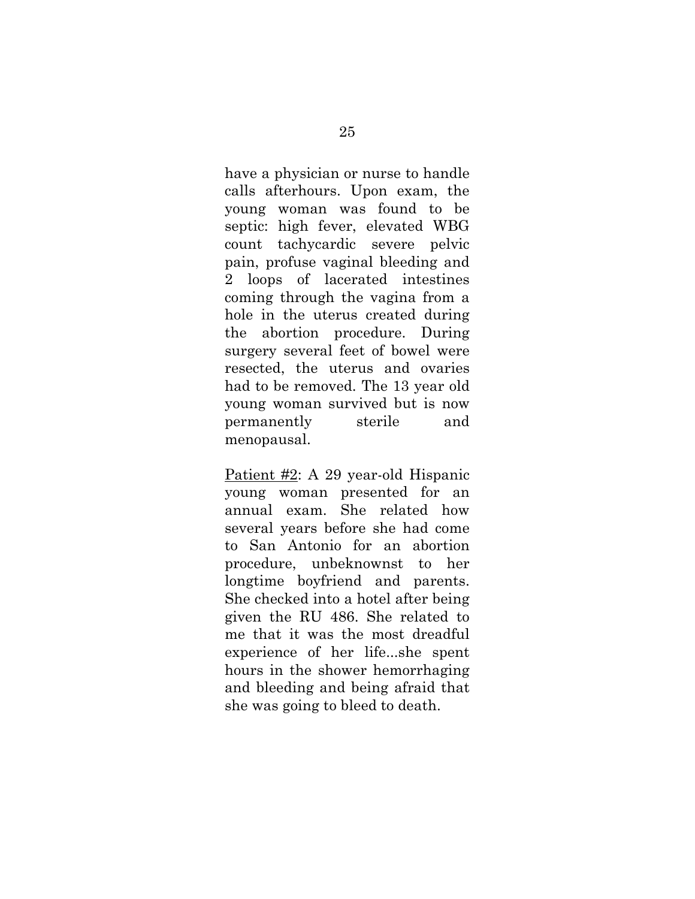have a physician or nurse to handle calls afterhours. Upon exam, the young woman was found to be septic: high fever, elevated WBG count tachycardic severe pelvic pain, profuse vaginal bleeding and 2 loops of lacerated intestines coming through the vagina from a hole in the uterus created during the abortion procedure. During surgery several feet of bowel were resected, the uterus and ovaries had to be removed. The 13 year old young woman survived but is now permanently sterile and menopausal.

Patient #2: A 29 year-old Hispanic young woman presented for an annual exam. She related how several years before she had come to San Antonio for an abortion procedure, unbeknownst to her longtime boyfriend and parents. She checked into a hotel after being given the RU 486. She related to me that it was the most dreadful experience of her life...she spent hours in the shower hemorrhaging and bleeding and being afraid that she was going to bleed to death.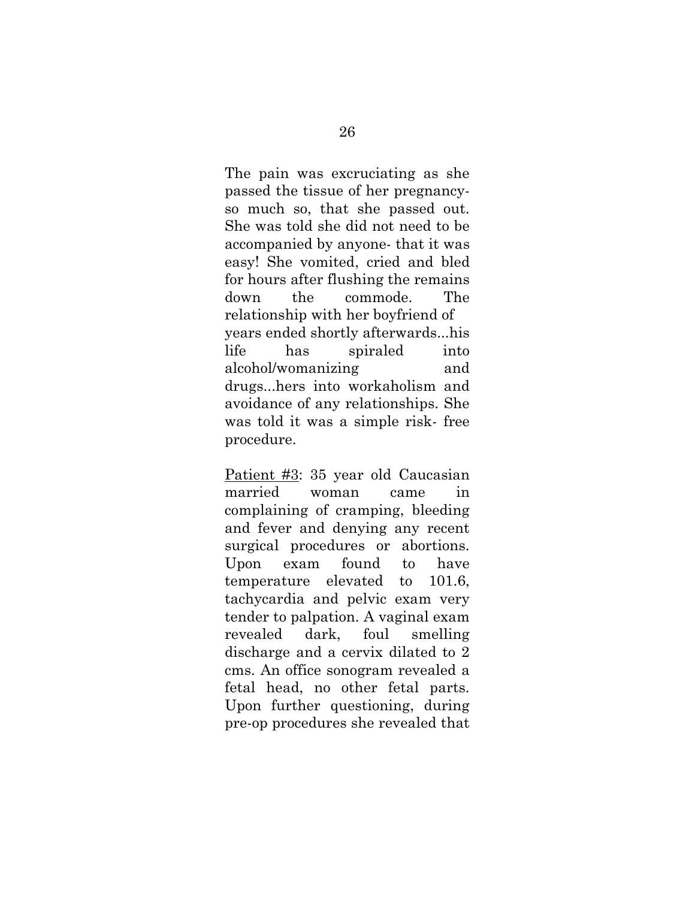The pain was excruciating as she passed the tissue of her pregnancyso much so, that she passed out. She was told she did not need to be accompanied by anyone- that it was easy! She vomited, cried and bled for hours after flushing the remains down the commode. The relationship with her boyfriend of years ended shortly afterwards...his life has spiraled into alcohol/womanizing and drugs...hers into workaholism and avoidance of any relationships. She was told it was a simple risk- free procedure.

Patient #3: 35 year old Caucasian married woman came in complaining of cramping, bleeding and fever and denying any recent surgical procedures or abortions. Upon exam found to have temperature elevated to 101.6, tachycardia and pelvic exam very tender to palpation. A vaginal exam revealed dark, foul smelling discharge and a cervix dilated to 2 cms. An office sonogram revealed a fetal head, no other fetal parts. Upon further questioning, during pre-op procedures she revealed that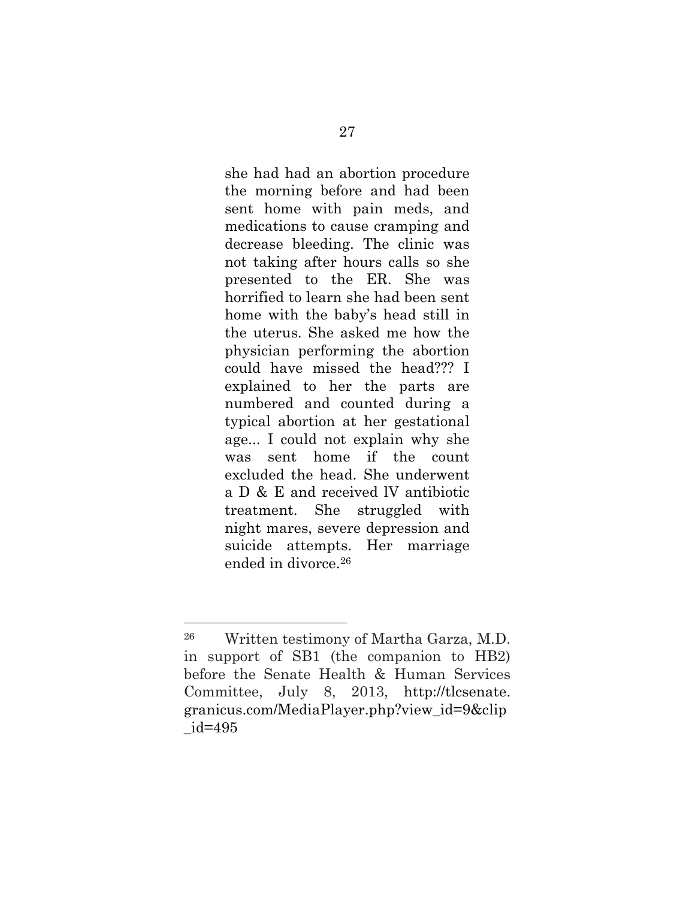she had had an abortion procedure the morning before and had been sent home with pain meds, and medications to cause cramping and decrease bleeding. The clinic was not taking after hours calls so she presented to the ER. She was horrified to learn she had been sent home with the baby's head still in the uterus. She asked me how the physician performing the abortion could have missed the head??? I explained to her the parts are numbered and counted during a typical abortion at her gestational age... I could not explain why she was sent home if the count excluded the head. She underwent a D & E and received lV antibiotic treatment. She struggled with night mares, severe depression and suicide attempts. Her marriage ended in divorce.<sup>26</sup>

l

<sup>26</sup> Written testimony of Martha Garza, M.D. in support of SB1 (the companion to HB2) before the Senate Health & Human Services Committee, July 8, 2013, http://tlcsenate. granicus.com/MediaPlayer.php?view\_id=9&clip \_id=495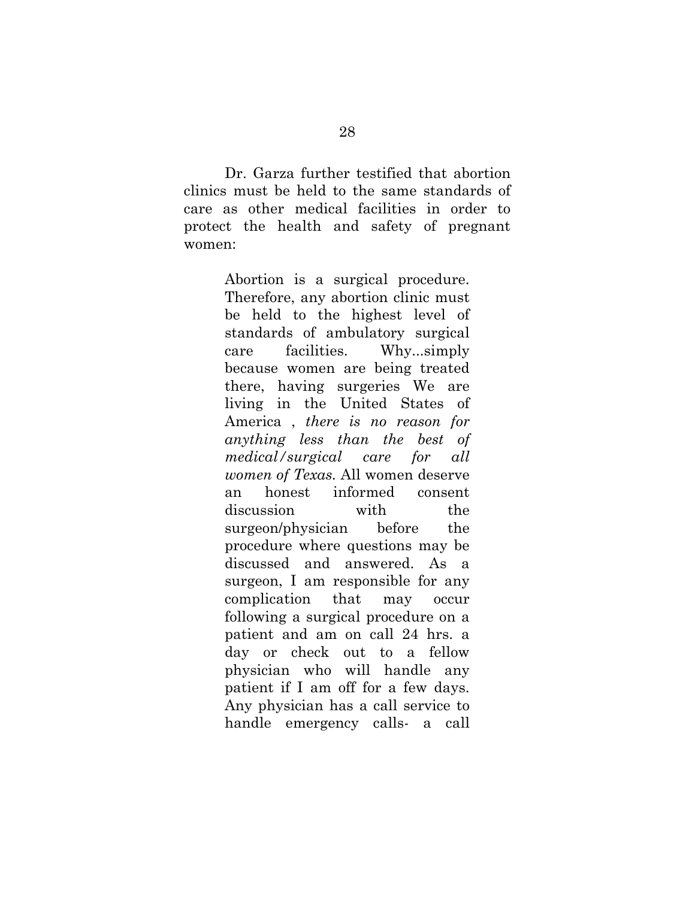Dr. Garza further testified that abortion clinics must be held to the same standards of care as other medical facilities in order to protect the health and safety of pregnant women:

> Abortion is a surgical procedure. Therefore, any abortion clinic must be held to the highest level of standards of ambulatory surgical care facilities. Why...simply because women are being treated there, having surgeries We are living in the United States of America , *there is no reason for anything less than the best of medical/surgical care for all women of Texas.* All women deserve an honest informed consent discussion with the surgeon/physician before the procedure where questions may be discussed and answered. As a surgeon, I am responsible for any complication that may occur following a surgical procedure on a patient and am on call 24 hrs. a day or check out to a fellow physician who will handle any patient if I am off for a few days. Any physician has a call service to handle emergency calls- a call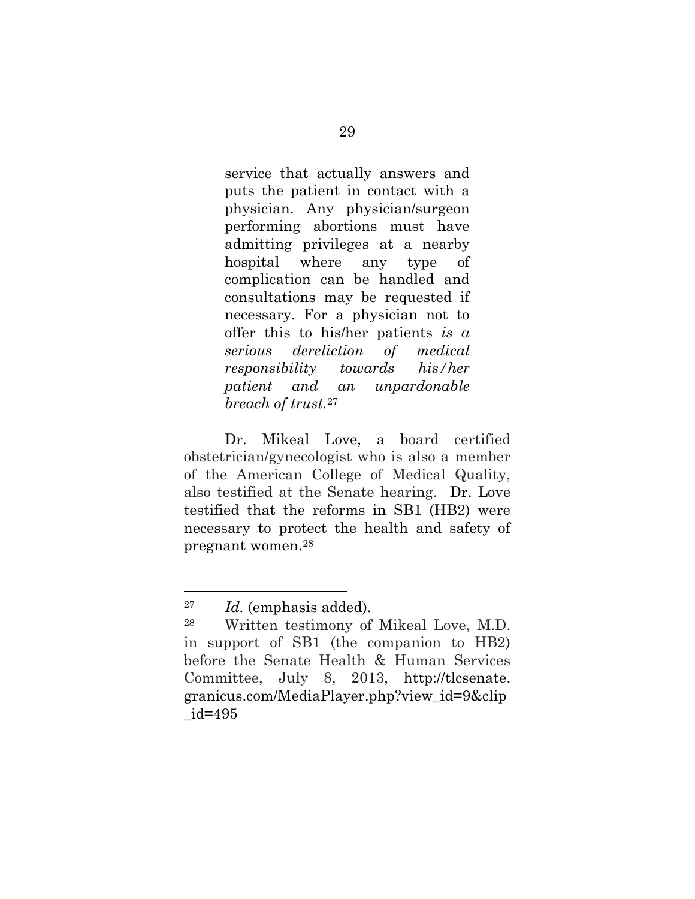service that actually answers and puts the patient in contact with a physician. Any physician/surgeon performing abortions must have admitting privileges at a nearby hospital where any type of complication can be handled and consultations may be requested if necessary. For a physician not to offer this to his/her patients *is a serious dereliction of medical responsibility towards his/her patient and an unpardonable breach of trust.*<sup>27</sup>

Dr. Mikeal Love, a board certified obstetrician/gynecologist who is also a member of the American College of Medical Quality, also testified at the Senate hearing. Dr. Love testified that the reforms in SB1 (HB2) were necessary to protect the health and safety of pregnant women.<sup>28</sup>

<sup>27</sup> *Id.* (emphasis added).

<sup>28</sup> Written testimony of Mikeal Love, M.D. in support of SB1 (the companion to HB2) before the Senate Health & Human Services Committee, July 8, 2013, http://tlcsenate. granicus.com/MediaPlayer.php?view\_id=9&clip \_id=495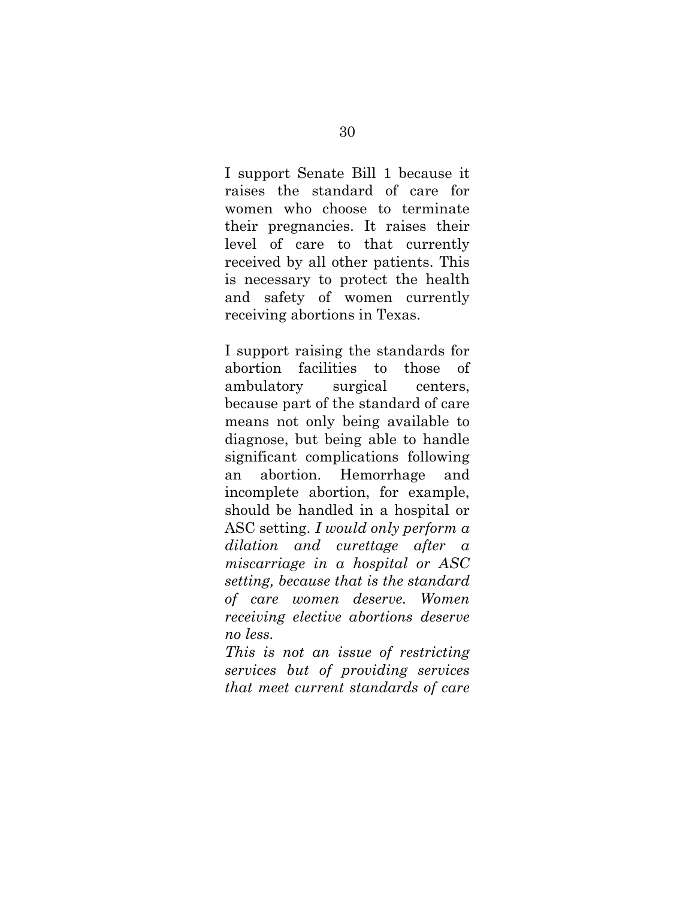I support Senate Bill 1 because it raises the standard of care for women who choose to terminate their pregnancies. It raises their level of care to that currently received by all other patients. This is necessary to protect the health and safety of women currently receiving abortions in Texas.

I support raising the standards for abortion facilities to those of ambulatory surgical centers, because part of the standard of care means not only being available to diagnose, but being able to handle significant complications following an abortion. Hemorrhage and incomplete abortion, for example, should be handled in a hospital or ASC setting. *I would only perform a dilation and curettage after a miscarriage in a hospital or ASC setting, because that is the standard of care women deserve. Women receiving elective abortions deserve no less.*

*This is not an issue of restricting services but of providing services that meet current standards of care*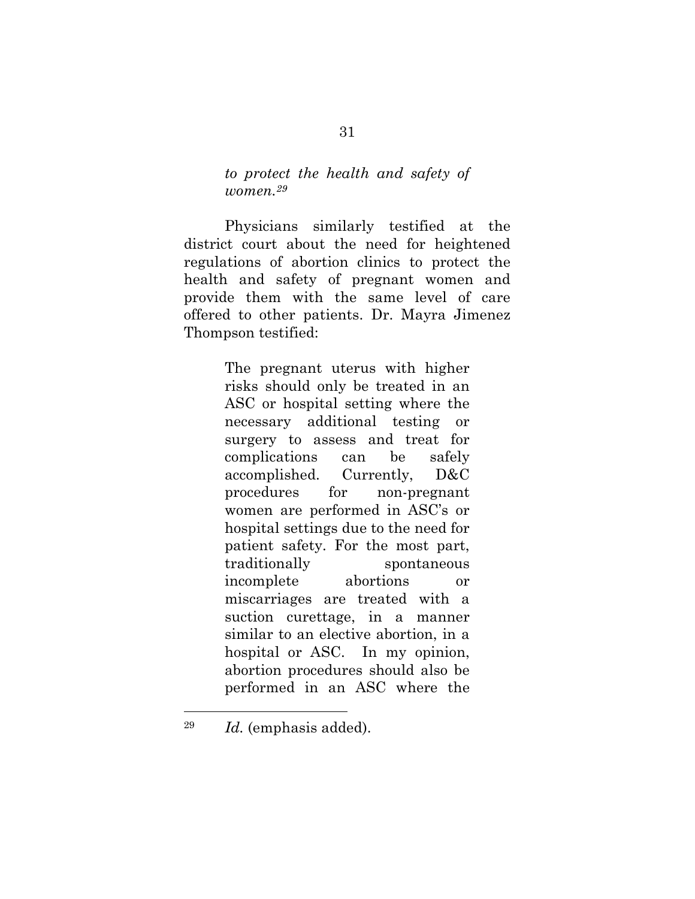*to protect the health and safety of women.<sup>29</sup>*

Physicians similarly testified at the district court about the need for heightened regulations of abortion clinics to protect the health and safety of pregnant women and provide them with the same level of care offered to other patients. Dr. Mayra Jimenez Thompson testified:

> The pregnant uterus with higher risks should only be treated in an ASC or hospital setting where the necessary additional testing or surgery to assess and treat for complications can be safely accomplished. Currently, D&C procedures for non-pregnant women are performed in ASC's or hospital settings due to the need for patient safety. For the most part, traditionally spontaneous incomplete abortions or miscarriages are treated with a suction curettage, in a manner similar to an elective abortion, in a hospital or ASC. In my opinion, abortion procedures should also be performed in an ASC where the

 $\overline{\phantom{a}}$ 

<sup>29</sup> *Id.* (emphasis added).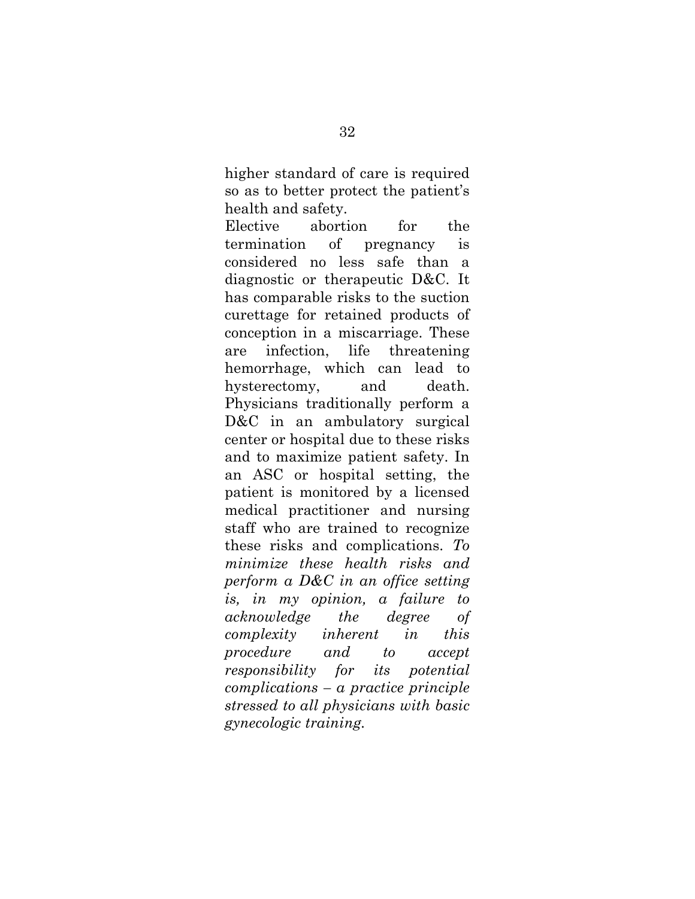higher standard of care is required so as to better protect the patient's health and safety.

Elective abortion for the termination of pregnancy is considered no less safe than a diagnostic or therapeutic D&C. It has comparable risks to the suction curettage for retained products of conception in a miscarriage. These are infection, life threatening hemorrhage, which can lead to hysterectomy, and death. Physicians traditionally perform a D&C in an ambulatory surgical center or hospital due to these risks and to maximize patient safety. In an ASC or hospital setting, the patient is monitored by a licensed medical practitioner and nursing staff who are trained to recognize these risks and complications. *To minimize these health risks and perform a D&C in an office setting is, in my opinion, a failure to acknowledge the degree of complexity inherent in this procedure and to accept responsibility for its potential complications – a practice principle stressed to all physicians with basic gynecologic training.*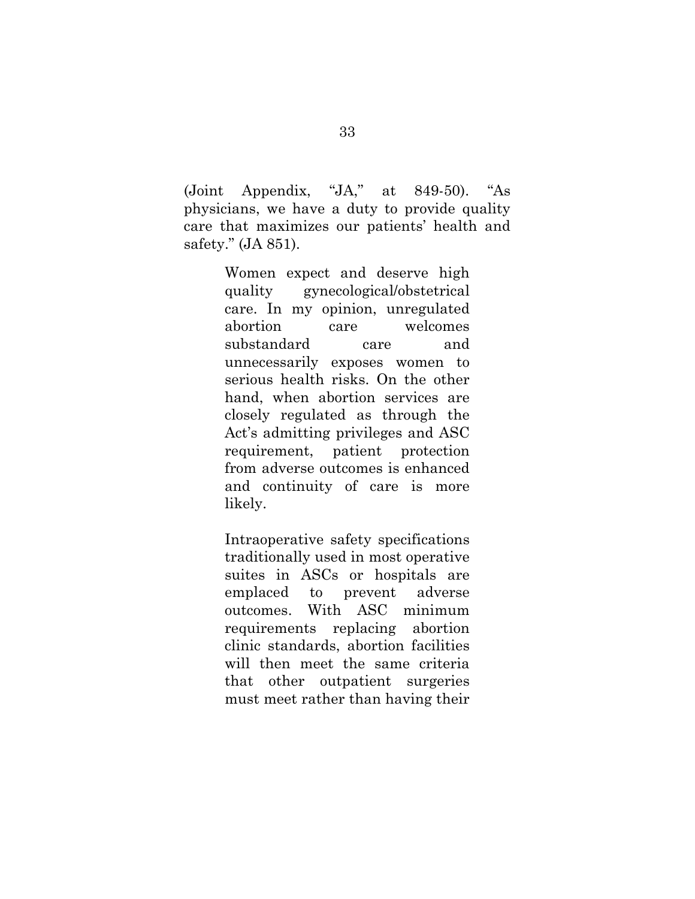(Joint Appendix, "JA," at 849-50). "As physicians, we have a duty to provide quality care that maximizes our patients' health and safety." (JA 851).

> Women expect and deserve high quality gynecological/obstetrical care. In my opinion, unregulated abortion care welcomes substandard care and unnecessarily exposes women to serious health risks. On the other hand, when abortion services are closely regulated as through the Act's admitting privileges and ASC requirement, patient protection from adverse outcomes is enhanced and continuity of care is more likely.

> Intraoperative safety specifications traditionally used in most operative suites in ASCs or hospitals are emplaced to prevent adverse outcomes. With ASC minimum requirements replacing abortion clinic standards, abortion facilities will then meet the same criteria that other outpatient surgeries must meet rather than having their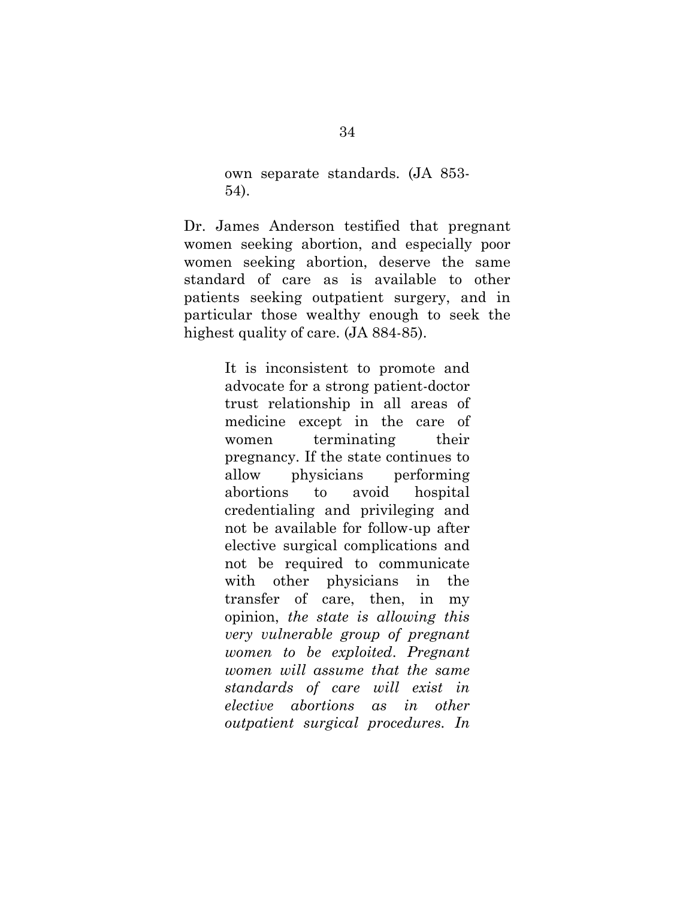own separate standards. (JA 853- 54).

Dr. James Anderson testified that pregnant women seeking abortion, and especially poor women seeking abortion, deserve the same standard of care as is available to other patients seeking outpatient surgery, and in particular those wealthy enough to seek the highest quality of care. (JA 884-85).

> It is inconsistent to promote and advocate for a strong patient-doctor trust relationship in all areas of medicine except in the care of women terminating their pregnancy. If the state continues to allow physicians performing abortions to avoid hospital credentialing and privileging and not be available for follow-up after elective surgical complications and not be required to communicate with other physicians in the transfer of care, then, in my opinion, *the state is allowing this very vulnerable group of pregnant women to be exploited*. *Pregnant women will assume that the same standards of care will exist in elective abortions as in other outpatient surgical procedures. In*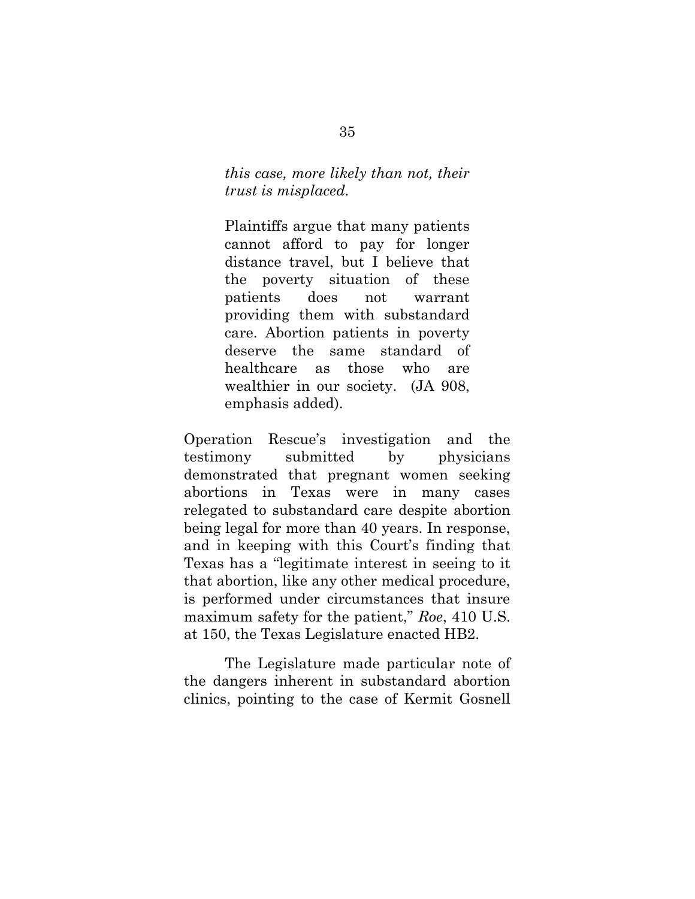*this case, more likely than not, their trust is misplaced.*

Plaintiffs argue that many patients cannot afford to pay for longer distance travel, but I believe that the poverty situation of these patients does not warrant providing them with substandard care. Abortion patients in poverty deserve the same standard of healthcare as those who are wealthier in our society. (JA 908, emphasis added).

Operation Rescue's investigation and the testimony submitted by physicians demonstrated that pregnant women seeking abortions in Texas were in many cases relegated to substandard care despite abortion being legal for more than 40 years. In response, and in keeping with this Court's finding that Texas has a "legitimate interest in seeing to it that abortion, like any other medical procedure, is performed under circumstances that insure maximum safety for the patient," *Roe*, 410 U.S. at 150, the Texas Legislature enacted HB2.

The Legislature made particular note of the dangers inherent in substandard abortion clinics, pointing to the case of Kermit Gosnell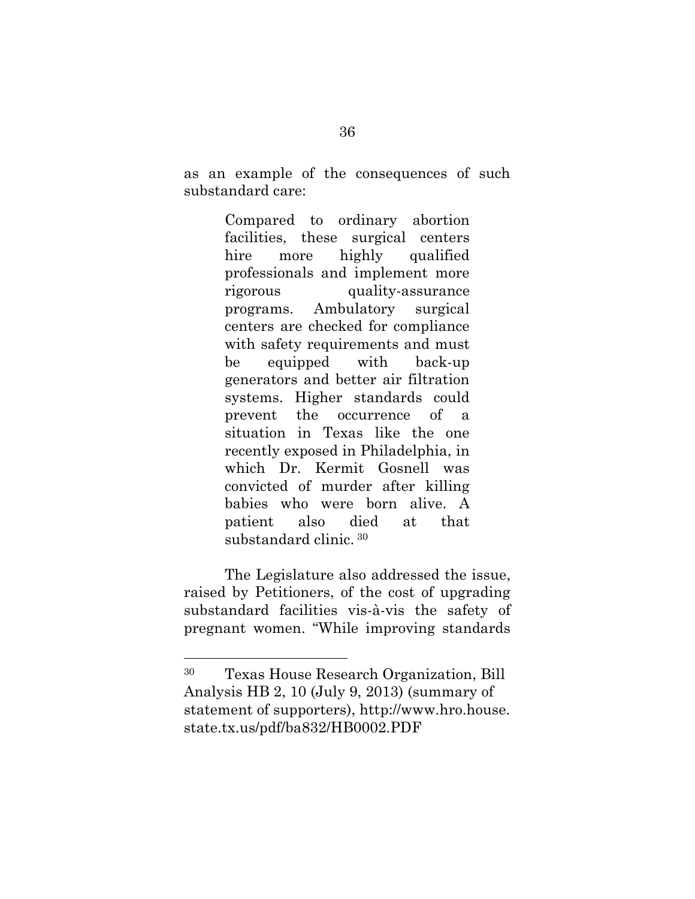as an example of the consequences of such substandard care:

> Compared to ordinary abortion facilities, these surgical centers hire more highly qualified professionals and implement more rigorous quality-assurance programs. Ambulatory surgical centers are checked for compliance with safety requirements and must be equipped with back-up generators and better air filtration systems. Higher standards could prevent the occurrence of a situation in Texas like the one recently exposed in Philadelphia, in which Dr. Kermit Gosnell was convicted of murder after killing babies who were born alive. A patient also died at that substandard clinic. <sup>30</sup>

The Legislature also addressed the issue, raised by Petitioners, of the cost of upgrading substandard facilities vis-à-vis the safety of pregnant women. "While improving standards

 $\overline{\phantom{a}}$ 

<sup>30</sup> Texas House Research Organization, Bill Analysis HB 2, 10 (July 9, 2013) (summary of statement of supporters), http://www.hro.house. state.tx.us/pdf/ba832/HB0002.PDF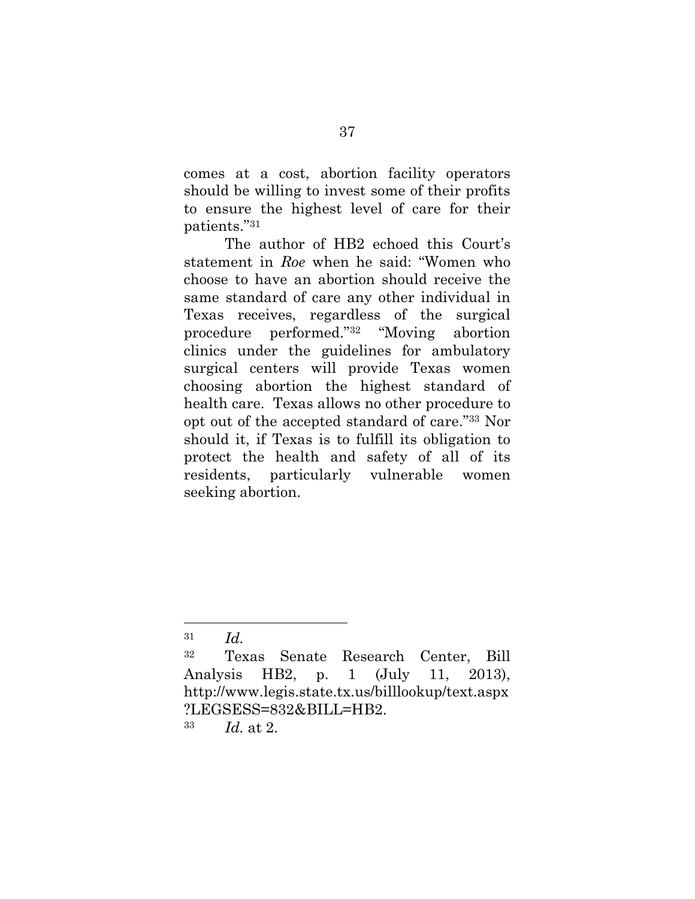comes at a cost, abortion facility operators should be willing to invest some of their profits to ensure the highest level of care for their patients." 31

The author of HB2 echoed this Court's statement in *Roe* when he said: "Women who choose to have an abortion should receive the same standard of care any other individual in Texas receives, regardless of the surgical procedure performed." <sup>32</sup> "Moving abortion clinics under the guidelines for ambulatory surgical centers will provide Texas women choosing abortion the highest standard of health care. Texas allows no other procedure to opt out of the accepted standard of care." <sup>33</sup> Nor should it, if Texas is to fulfill its obligation to protect the health and safety of all of its residents, particularly vulnerable women seeking abortion.

l

<sup>31</sup> *Id.*

<sup>32</sup> Texas Senate Research Center, Bill Analysis HB2, p. 1 (July 11, 2013), http://www.legis.state.tx.us/billlookup/text.aspx ?LEGSESS=832&BILL=HB2.

<sup>33</sup> *Id.* at 2.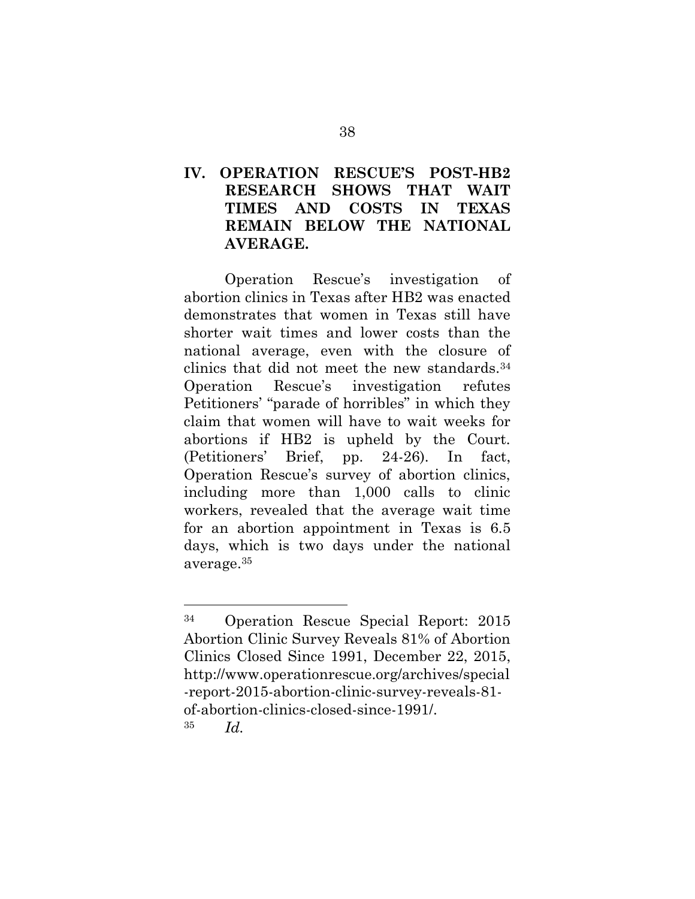# <span id="page-43-0"></span>**IV. OPERATION RESCUE'S POST-HB2 RESEARCH SHOWS THAT WAIT TIMES AND COSTS IN TEXAS REMAIN BELOW THE NATIONAL AVERAGE.**

Operation Rescue's investigation of abortion clinics in Texas after HB2 was enacted demonstrates that women in Texas still have shorter wait times and lower costs than the national average, even with the closure of clinics that did not meet the new standards.<sup>34</sup> Operation Rescue's investigation refutes Petitioners' "parade of horribles" in which they claim that women will have to wait weeks for abortions if HB2 is upheld by the Court. (Petitioners' Brief, pp. 24-26). In fact, Operation Rescue's survey of abortion clinics, including more than 1,000 calls to clinic workers, revealed that the average wait time for an abortion appointment in Texas is 6.5 days, which is two days under the national average.<sup>35</sup>

l

<sup>34</sup> Operation Rescue Special Report: 2015 Abortion Clinic Survey Reveals 81% of Abortion Clinics Closed Since 1991, December 22, 2015, http://www.operationrescue.org/archives/special -report-2015-abortion-clinic-survey-reveals-81 of-abortion-clinics-closed-since-1991/. <sup>35</sup> *Id.*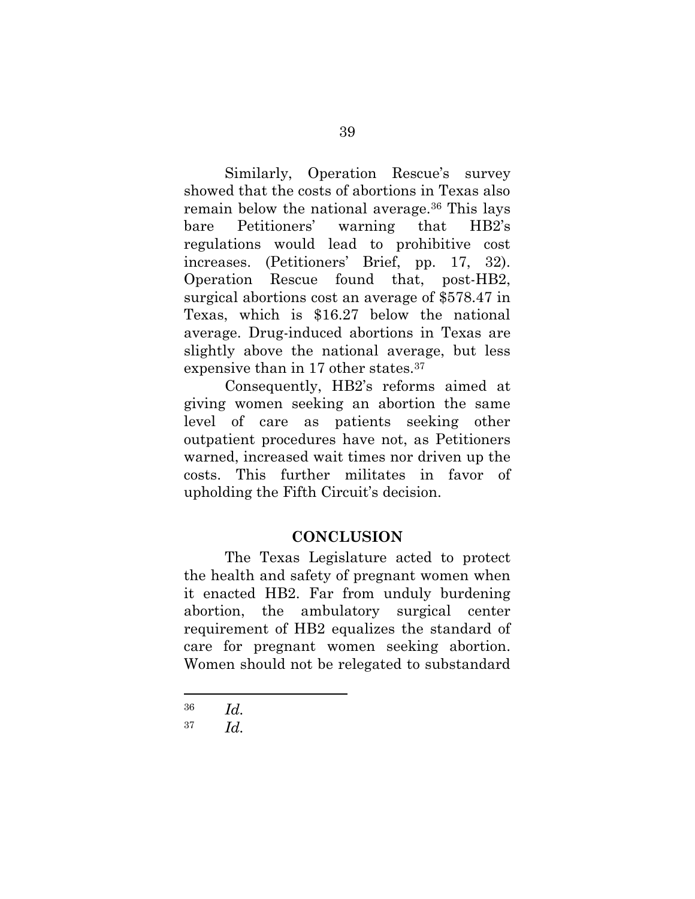Similarly, Operation Rescue's survey showed that the costs of abortions in Texas also remain below the national average.<sup>36</sup> This lays bare Petitioners' warning that HB2's regulations would lead to prohibitive cost increases. (Petitioners' Brief, pp. 17, 32). Operation Rescue found that, post-HB2, surgical abortions cost an average of \$578.47 in Texas, which is \$16.27 below the national average. Drug-induced abortions in Texas are slightly above the national average, but less expensive than in 17 other states.<sup>37</sup>

Consequently, HB2's reforms aimed at giving women seeking an abortion the same level of care as patients seeking other outpatient procedures have not, as Petitioners warned, increased wait times nor driven up the costs. This further militates in favor of upholding the Fifth Circuit's decision.

### **CONCLUSION**

<span id="page-44-0"></span>The Texas Legislature acted to protect the health and safety of pregnant women when it enacted HB2. Far from unduly burdening abortion, the ambulatory surgical center requirement of HB2 equalizes the standard of care for pregnant women seeking abortion. Women should not be relegated to substandard

<sup>36</sup> *Id.*

<sup>37</sup> *Id.*